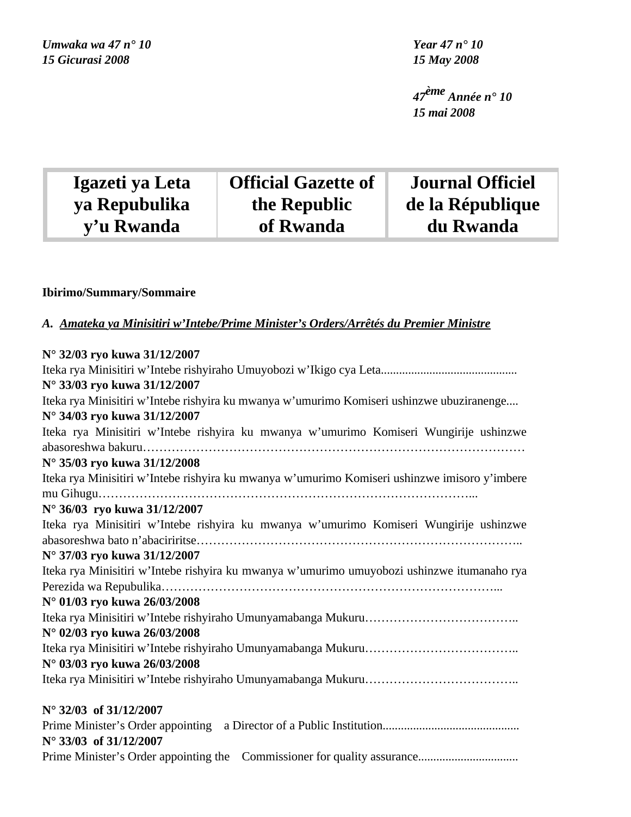*47ème Année n° 10 15 mai 2008*

| Igazeti ya Leta | <b>Official Gazette of</b> | <b>Journal Officiel</b> |
|-----------------|----------------------------|-------------------------|
| ya Repubulika   | the Republic               | de la République        |
| y'u Rwanda      | of Rwanda                  | du Rwanda               |

# **Ibirimo/Summary/Sommaire**

Ĩ

# *A. Amateka ya Minisitiri w'Intebe/Prime Minister's Orders/Arrêtés du Premier Ministre*

| N° 32/03 ryo kuwa 31/12/2007                                                                  |
|-----------------------------------------------------------------------------------------------|
|                                                                                               |
| N° 33/03 ryo kuwa 31/12/2007                                                                  |
| Iteka rya Minisitiri w'Intebe rishyira ku mwanya w'umurimo Komiseri ushinzwe ubuziranenge     |
| N° 34/03 ryo kuwa 31/12/2007                                                                  |
| Iteka rya Minisitiri w'Intebe rishyira ku mwanya w'umurimo Komiseri Wungirije ushinzwe        |
|                                                                                               |
| N° 35/03 ryo kuwa 31/12/2008                                                                  |
| Iteka rya Minisitiri w'Intebe rishyira ku mwanya w'umurimo Komiseri ushinzwe imisoro y'imbere |
| N° 36/03 ryo kuwa 31/12/2007                                                                  |
| Iteka rya Minisitiri w'Intebe rishyira ku mwanya w'umurimo Komiseri Wungirije ushinzwe        |
|                                                                                               |
| N° 37/03 ryo kuwa 31/12/2007                                                                  |
| Iteka rya Minisitiri w'Intebe rishyira ku mwanya w'umurimo umuyobozi ushinzwe itumanaho rya   |
|                                                                                               |
| N° 01/03 ryo kuwa 26/03/2008                                                                  |
|                                                                                               |
| N° 02/03 ryo kuwa 26/03/2008                                                                  |
|                                                                                               |
| N° 03/03 ryo kuwa 26/03/2008                                                                  |
|                                                                                               |
| $N^{\circ}$ 32/03 of 31/12/2007                                                               |
|                                                                                               |
| N° 33/03 of 31/12/2007                                                                        |
|                                                                                               |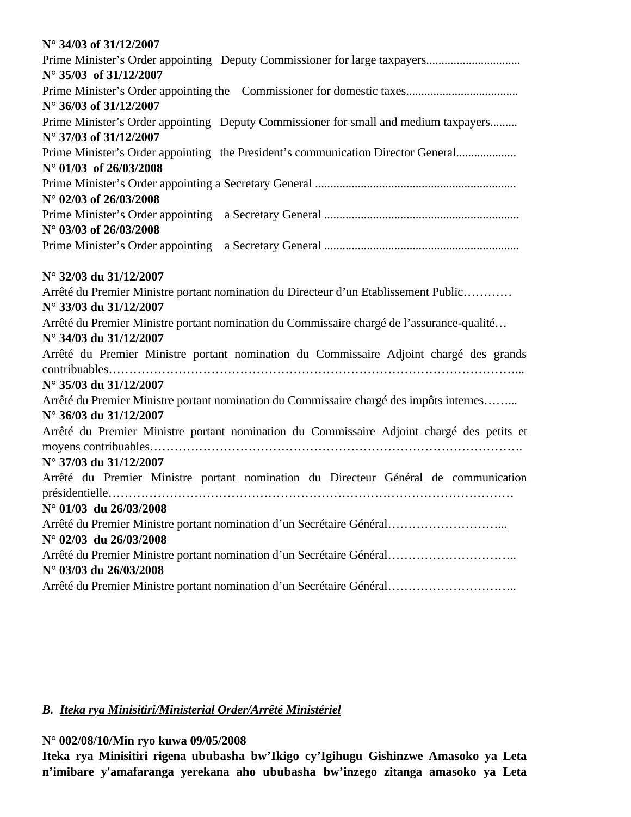| N° 34/03 of 31/12/2007                                                                                              |
|---------------------------------------------------------------------------------------------------------------------|
|                                                                                                                     |
| $N^{\circ}$ 35/03 of 31/12/2007                                                                                     |
|                                                                                                                     |
| N° 36/03 of 31/12/2007                                                                                              |
| Prime Minister's Order appointing Deputy Commissioner for small and medium taxpayers                                |
| N° 37/03 of 31/12/2007                                                                                              |
| Prime Minister's Order appointing the President's communication Director General<br>$N^{\circ}$ 01/03 of 26/03/2008 |
|                                                                                                                     |
| N° 02/03 of 26/03/2008                                                                                              |
|                                                                                                                     |
| N° 03/03 of 26/03/2008                                                                                              |
|                                                                                                                     |
| N° 32/03 du 31/12/2007                                                                                              |
| Arrêté du Premier Ministre portant nomination du Directeur d'un Etablissement Public                                |
| N° 33/03 du 31/12/2007                                                                                              |
| Arrêté du Premier Ministre portant nomination du Commissaire chargé de l'assurance-qualité                          |
| N° 34/03 du 31/12/2007                                                                                              |
| Arrêté du Premier Ministre portant nomination du Commissaire Adjoint chargé des grands                              |
|                                                                                                                     |
| N° 35/03 du 31/12/2007                                                                                              |
| Arrêté du Premier Ministre portant nomination du Commissaire chargé des impôts internes                             |
| N° 36/03 du 31/12/2007                                                                                              |
| Arrêté du Premier Ministre portant nomination du Commissaire Adjoint chargé des petits et                           |
|                                                                                                                     |
| N° 37/03 du 31/12/2007                                                                                              |
| Arrêté du Premier Ministre portant nomination du Directeur Général de communication                                 |
| présidentielle                                                                                                      |
| $N^{\circ}$ 01/03 du 26/03/2008                                                                                     |
| Arrêté du Premier Ministre portant nomination d'un Secrétaire Général                                               |
| $N^{\circ}$ 02/03 du 26/03/2008                                                                                     |
| Arrêté du Premier Ministre portant nomination d'un Secrétaire Général                                               |
| N° 03/03 du 26/03/2008                                                                                              |
| Arrêté du Premier Ministre portant nomination d'un Secrétaire Général                                               |

# *B. Iteka rya Minisitiri/Ministerial Order/Arrêté Ministériel*

**N° 002/08/10/Min ryo kuwa 09/05/2008**

**Iteka rya Minisitiri rigena ububasha bw'Ikigo cy'Igihugu Gishinzwe Amasoko ya Leta n'imibare y'amafaranga yerekana aho ububasha bw'inzego zitanga amasoko ya Leta**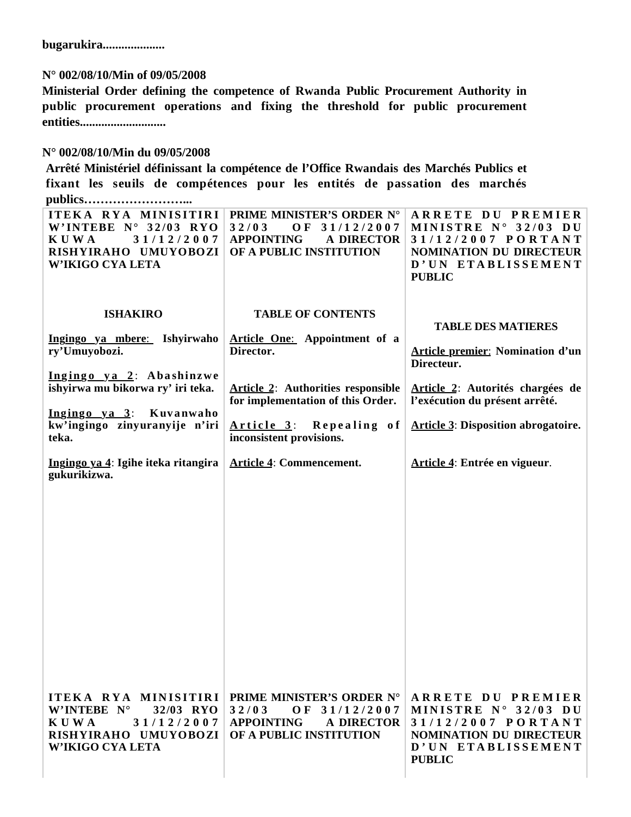**bugarukira....................**

# **N° 002/08/10/Min of 09/05/2008**

**Ministerial Order defining the competence of Rwanda Public Procurement Authority in public procurement operations and fixing the threshold for public procurement entities............................**

# **N° 002/08/10/Min du 09/05/2008**

**Arrêté Ministériel définissant la compétence de l'Office Rwandais des Marchés Publics et fixant les seuils de compétences pour les entités de passation des marchés publics……………………...**

| ITEKA RYA MINISITIRI<br>W'INTEBE $N^{\circ}$ 32/03 RYO<br>31/12/2007<br>K U W A<br>RISHYIRAHO UMUYOBOZI<br><b>W'IKIGO CYA LETA</b> | PRIME MINISTER'S ORDER N°<br>32/03<br>31/12/2007<br>OF<br><b>APPOINTING</b><br><b>A DIRECTOR</b><br>OF A PUBLIC INSTITUTION                                     | <b>ARRETE DU PREMIER</b><br>MINISTRE N° 32/03 DU<br>31/12/2007 PORTANT<br><b>NOMINATION DU DIRECTEUR</b><br>D'UN ETABLISSEMENT<br><b>PUBLIC</b>          |
|------------------------------------------------------------------------------------------------------------------------------------|-----------------------------------------------------------------------------------------------------------------------------------------------------------------|----------------------------------------------------------------------------------------------------------------------------------------------------------|
| <b>ISHAKIRO</b><br>Ingingo ya mbere: Ishyirwaho<br>ry'Umuyobozi.<br>Ingingo ya 2: Abashinzwe<br>ishyirwa mu bikorwa ry' iri teka.  | <b>TABLE OF CONTENTS</b><br><b>Article One:</b> Appointment of a<br>Director.<br><b>Article 2:</b> Authorities responsible<br>for implementation of this Order. | <b>TABLE DES MATIERES</b><br><b>Article premier: Nomination d'un</b><br>Directeur.<br>Article 2: Autorités chargées de<br>l'exécution du présent arrêté. |
| Ingingo ya 3: Kuvanwaho<br>kw'ingingo zinyuranyije n'iri<br>teka.                                                                  | Repealing of<br>Article 3:<br>inconsistent provisions.                                                                                                          | <b>Article 3: Disposition abrogatoire.</b>                                                                                                               |
| Ingingo ya 4: Igihe iteka ritangira<br>gukurikizwa.                                                                                | <b>Article 4: Commencement.</b>                                                                                                                                 | Article 4: Entrée en vigueur.                                                                                                                            |
| ITEKA RYA MINISITIRI<br>W'INTEBE N°<br>32/03 RYO<br><b>KUWA</b><br>31/12/2007<br>RISHYIRAHO UMUYOBOZI<br>W'IKIGO CYA LETA          | <b>PRIME MINISTER'S ORDER N°</b><br>32/03<br>OF 31/12/2007<br><b>APPOINTING</b><br><b>A DIRECTOR</b><br>OF A PUBLIC INSTITUTION                                 | ARRETE DU PREMIER<br>MINISTRE N° 32/03 DU<br>31/12/2007 PORTANT<br><b>NOMINATION DU DIRECTEUR</b><br>D'UN ETABLISSEMENT<br><b>PUBLIC</b>                 |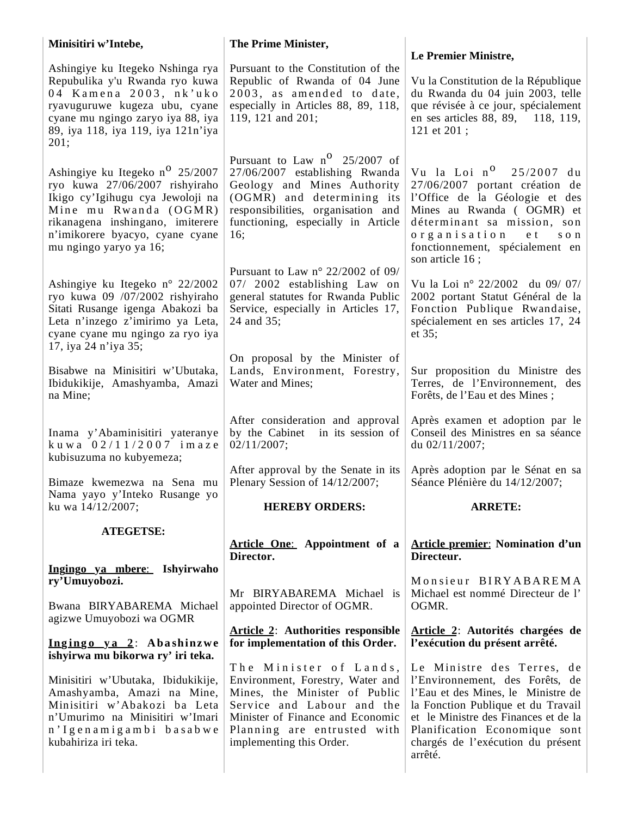| Minisitiri w'Intebe,                                                                                                                                                                                                                        | The Prime Minister,                                                                                                                                                                                                      |                                                                                                                                                                                                                                                                    |
|---------------------------------------------------------------------------------------------------------------------------------------------------------------------------------------------------------------------------------------------|--------------------------------------------------------------------------------------------------------------------------------------------------------------------------------------------------------------------------|--------------------------------------------------------------------------------------------------------------------------------------------------------------------------------------------------------------------------------------------------------------------|
| Ashingiye ku Itegeko Nshinga rya<br>Repubulika y'u Rwanda ryo kuwa<br>04 Kamena 2003, nk'uko<br>ryavuguruwe kugeza ubu, cyane<br>cyane mu ngingo zaryo iya 88, iya<br>89, iya 118, iya 119, iya 121n'iya<br>201;                            | Pursuant to the Constitution of the<br>Republic of Rwanda of 04 June<br>2003, as amended to date,<br>especially in Articles 88, 89, 118,<br>119, 121 and 201;                                                            | Le Premier Ministre,<br>Vu la Constitution de la République<br>du Rwanda du 04 juin 2003, telle<br>que révisée à ce jour, spécialement<br>en ses articles 88, 89, 118, 119,<br>121 et 201;                                                                         |
| Ashingiye ku Itegeko n <sup>o</sup> 25/2007<br>ryo kuwa 27/06/2007 rishyiraho<br>Ikigo cy'Igihugu cya Jewoloji na<br>Mine mu Rwanda (OGMR)<br>rikanagena inshingano, imiterere<br>n'imikorere byacyo, cyane cyane<br>mu ngingo yaryo ya 16; | Pursuant to Law $n^0$ 25/2007 of<br>27/06/2007 establishing Rwanda<br>Geology and Mines Authority<br>(OGMR) and determining its<br>responsibilities, organisation and<br>functioning, especially in Article<br>16;       | Vu la Loi n <sup>0</sup> 25/2007 du<br>27/06/2007 portant création de<br>l'Office de la Géologie et des<br>Mines au Rwanda (OGMR) et<br>déterminant sa mission, son<br>organisation<br>e t<br>son<br>fonctionnement, spécialement en<br>son article 16;            |
| Ashingiye ku Itegeko n° 22/2002<br>ryo kuwa 09 /07/2002 rishyiraho<br>Sitati Rusange igenga Abakozi ba<br>Leta n'inzego z'imirimo ya Leta,<br>cyane cyane mu ngingo za ryo iya<br>17, iya 24 n'iya 35;                                      | Pursuant to Law $n^{\circ}$ 22/2002 of 09/<br>07/ 2002 establishing Law on<br>general statutes for Rwanda Public<br>Service, especially in Articles 17,<br>24 and 35;                                                    | Vu la Loi nº 22/2002 du 09/07/<br>2002 portant Statut Général de la<br>Fonction Publique Rwandaise,<br>spécialement en ses articles 17, 24<br>et 35;                                                                                                               |
| Bisabwe na Minisitiri w'Ubutaka,<br>Ibidukikije, Amashyamba, Amazi<br>na Mine;                                                                                                                                                              | On proposal by the Minister of<br>Lands, Environment, Forestry,<br>Water and Mines;                                                                                                                                      | Sur proposition du Ministre des<br>Terres, de l'Environnement, des<br>Forêts, de l'Eau et des Mines;                                                                                                                                                               |
| Inama y'Abaminisitiri yateranye<br>kuwa $02/11/2007$ imaze<br>kubisuzuma no kubyemeza;                                                                                                                                                      | After consideration and approval<br>by the Cabinet in its session of<br>02/11/2007;                                                                                                                                      | Après examen et adoption par le<br>Conseil des Ministres en sa séance<br>du 02/11/2007;                                                                                                                                                                            |
| Bimaze kwemezwa na Sena mu<br>Nama yayo y'Inteko Rusange yo                                                                                                                                                                                 | After approval by the Senate in its<br>Plenary Session of 14/12/2007;                                                                                                                                                    | Après adoption par le Sénat en sa<br>Séance Plénière du 14/12/2007;                                                                                                                                                                                                |
| ku wa 14/12/2007;                                                                                                                                                                                                                           | <b>HEREBY ORDERS:</b>                                                                                                                                                                                                    | <b>ARRETE:</b>                                                                                                                                                                                                                                                     |
| <b>ATEGETSE:</b>                                                                                                                                                                                                                            | Article One: Appointment of a<br>Director.                                                                                                                                                                               | <b>Article premier: Nomination d'un</b><br>Directeur.                                                                                                                                                                                                              |
| Ingingo ya mbere: Ishyirwaho<br>ry'Umuyobozi.                                                                                                                                                                                               |                                                                                                                                                                                                                          | Monsieur BIRYABAREMA                                                                                                                                                                                                                                               |
| Bwana BIRYABAREMA Michael<br>agizwe Umuyobozi wa OGMR                                                                                                                                                                                       | Mr BIRYABAREMA Michael is<br>appointed Director of OGMR.                                                                                                                                                                 | Michael est nommé Directeur de l'<br>OGMR.                                                                                                                                                                                                                         |
| Ingingo ya 2: Abashinzwe<br>ishyirwa mu bikorwa ry' iri teka.                                                                                                                                                                               | <b>Article 2:</b> Authorities responsible<br>for implementation of this Order.                                                                                                                                           | Article 2: Autorités chargées de<br>l'exécution du présent arrêté.                                                                                                                                                                                                 |
| Minisitiri w'Ubutaka, Ibidukikije,<br>Amashyamba, Amazi na Mine,<br>Minisitiri w'Abakozi ba Leta<br>n'Umurimo na Minisitiri w'Imari<br>n'Igenamigambi basabwe<br>kubahiriza iri teka.                                                       | The Minister of Lands,<br>Environment, Forestry, Water and<br>Mines, the Minister of Public<br>Service and Labour and the<br>Minister of Finance and Economic<br>Planning are entrusted with<br>implementing this Order. | Le Ministre des Terres, de<br>l'Environnement, des Forêts, de<br>l'Eau et des Mines, le Ministre de<br>la Fonction Publique et du Travail<br>et le Ministre des Finances et de la<br>Planification Economique sont<br>chargés de l'exécution du présent<br>arrêté. |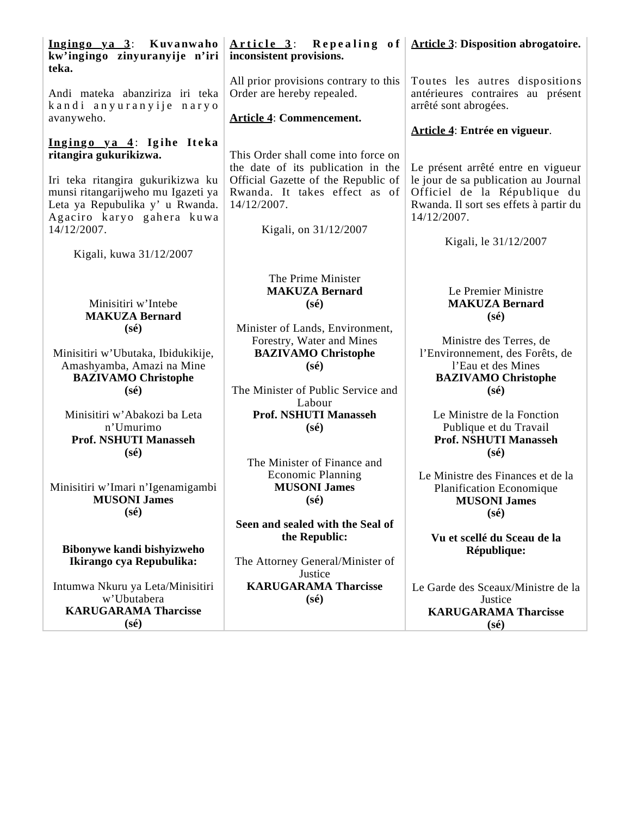| Ingingo ya 3: Kuvanwaho<br>kw'ingingo zinyuranyije n'iri<br>teka.                                                              | Article $3$ : Repealing of $\text{Article 3: Disposition abrogatoire.}$<br>inconsistent provisions.                                               |                                                                                                                                             |
|--------------------------------------------------------------------------------------------------------------------------------|---------------------------------------------------------------------------------------------------------------------------------------------------|---------------------------------------------------------------------------------------------------------------------------------------------|
| Andi mateka abanziriza iri teka<br>kandi anyuranyije naryo<br>avanyweho.                                                       | All prior provisions contrary to this<br>Order are hereby repealed.<br><b>Article 4: Commencement.</b>                                            | Toutes les autres dispositions<br>antérieures contraires au présent<br>arrêté sont abrogées.                                                |
| Ingingo ya 4: Igihe Iteka<br>ritangira gukurikizwa.<br>Iri teka ritangira gukurikizwa ku<br>munsi ritangarijweho mu Igazeti ya | This Order shall come into force on<br>the date of its publication in the<br>Official Gazette of the Republic of<br>Rwanda. It takes effect as of | Article 4: Entrée en vigueur.<br>Le présent arrêté entre en vigueur<br>le jour de sa publication au Journal<br>Officiel de la République du |
| Leta ya Repubulika y' u Rwanda.<br>Agaciro karyo gahera kuwa<br>14/12/2007.<br>Kigali, kuwa 31/12/2007                         | 14/12/2007.<br>Kigali, on 31/12/2007                                                                                                              | Rwanda. Il sort ses effets à partir du<br>14/12/2007.<br>Kigali, le 31/12/2007                                                              |
| Minisitiri w'Intebe<br><b>MAKUZA Bernard</b>                                                                                   | The Prime Minister<br><b>MAKUZA Bernard</b><br>$(s\acute{e})$                                                                                     | Le Premier Ministre<br><b>MAKUZA Bernard</b><br>$(s\acute{e})$                                                                              |
| $(s\acute{e})$<br>Minisitiri w'Ubutaka, Ibidukikije,<br>Amashyamba, Amazi na Mine<br><b>BAZIVAMO Christophe</b>                | Minister of Lands, Environment,<br>Forestry, Water and Mines<br><b>BAZIVAMO Christophe</b><br>$(s\acute{e})$                                      | Ministre des Terres, de<br>l'Environnement, des Forêts, de<br>l'Eau et des Mines<br><b>BAZIVAMO Christophe</b>                              |
| $(s\acute{e})$<br>Minisitiri w'Abakozi ba Leta<br>n'Umurimo<br><b>Prof. NSHUTI Manasseh</b><br>$(s\acute{e})$                  | The Minister of Public Service and<br>Labour<br><b>Prof. NSHUTI Manasseh</b><br>$(s\acute{e})$                                                    | $(s\acute{e})$<br>Le Ministre de la Fonction<br>Publique et du Travail<br><b>Prof. NSHUTI Manasseh</b><br>$(s\acute{e})$                    |
| Minisitiri w'Imari n'Igenamigambi<br><b>MUSONI James</b><br>$(s\acute{e})$                                                     | The Minister of Finance and<br><b>Economic Planning</b><br><b>MUSONI James</b><br>$(s\acute{e})$                                                  | Le Ministre des Finances et de la<br>Planification Economique<br><b>MUSONI James</b><br>$(s\acute{e})$                                      |
| Bibonywe kandi bishyizweho<br>Ikirango cya Repubulika:                                                                         | Seen and sealed with the Seal of<br>the Republic:<br>The Attorney General/Minister of<br>Justice                                                  | Vu et scellé du Sceau de la<br>République:                                                                                                  |
| Intumwa Nkuru ya Leta/Minisitiri<br>w'Ubutabera<br><b>KARUGARAMA Tharcisse</b><br>$(s\acute{e})$                               | <b>KARUGARAMA Tharcisse</b><br>$(s\acute{e})$                                                                                                     | Le Garde des Sceaux/Ministre de la<br>Justice<br><b>KARUGARAMA Tharcisse</b><br>$(s\acute{e})$                                              |
|                                                                                                                                |                                                                                                                                                   |                                                                                                                                             |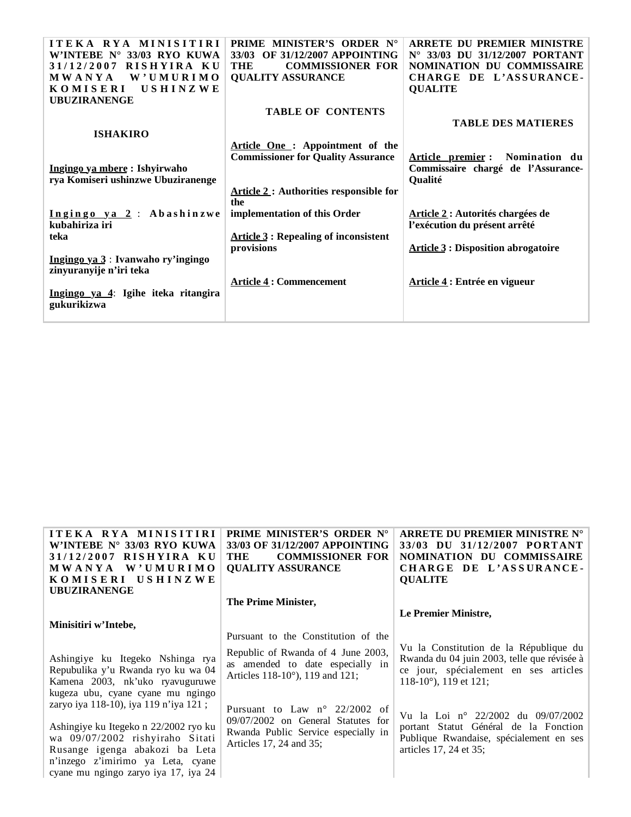| ITEKA RYA MINISITIRI                | <b>PRIME MINISTER'S ORDER N°</b>              | <b>ARRETE DU PREMIER MINISTRE</b>         |
|-------------------------------------|-----------------------------------------------|-------------------------------------------|
| W'INTEBE $N^{\circ}$ 33/03 RYO KUWA | 33/03 OF 31/12/2007 APPOINTING                | N° 33/03 DU 31/12/2007 PORTANT            |
| RISHYIRA KU<br>31/12/2007           | THE<br><b>COMMISSIONER FOR</b>                | NOMINATION DU COMMISSAIRE                 |
| MWANYA<br>W'UMURIMO                 | <b>QUALITY ASSURANCE</b>                      | CHARGE DE L'ASSURANCE-                    |
| <b>KOMISERI</b><br>USHINZWE         |                                               | <b>QUALITE</b>                            |
| <b>UBUZIRANENGE</b>                 |                                               |                                           |
|                                     | <b>TABLE OF CONTENTS</b>                      |                                           |
|                                     |                                               | <b>TABLE DES MATIERES</b>                 |
| <b>ISHAKIRO</b>                     |                                               |                                           |
|                                     | Article One: Appointment of the               |                                           |
|                                     | <b>Commissioner for Quality Assurance</b>     | Article premier: Nomination du            |
| Ingingo ya mbere : Ishyirwaho       |                                               | Commissaire chargé de l'Assurance-        |
| rya Komiseri ushinzwe Ubuziranenge  |                                               | <b>Qualité</b>                            |
|                                     | <b>Article 2: Authorities responsible for</b> |                                           |
|                                     | the                                           |                                           |
| Ingingo ya 2: Abashinzwe            | implementation of this Order                  | Article 2 : Autorités chargées de         |
| kubahiriza iri                      |                                               | l'exécution du présent arrêté             |
| teka                                | <b>Article 3: Repealing of inconsistent</b>   |                                           |
|                                     | provisions                                    | <b>Article 3: Disposition abrogatoire</b> |
| Ingingo ya 3: Ivanwaho ry'ingingo   |                                               |                                           |
| zinyuranyije n'iri teka             |                                               |                                           |
|                                     | <b>Article 4: Commencement</b>                | Article 4: Entrée en vigueur              |
| Ingingo ya 4: Igihe iteka ritangira |                                               |                                           |
| gukurikizwa                         |                                               |                                           |
|                                     |                                               |                                           |

| ITEKA RYA MINISITIRI<br>W'INTEBE N° 33/03 RYO KUWA<br>RISHYIRA KU<br>31/12/2007<br>W'UMURIMO<br><b>MWANYA</b><br>KOMISERI USHINZWE<br><b>UBUZIRANENGE</b>                                                                                                             | <b>PRIME MINISTER'S ORDER N°</b><br>33/03 OF 31/12/2007 APPOINTING<br><b>COMMISSIONER FOR</b><br>THE<br><b>QUALITY ASSURANCE</b>               | ARRETE DU PREMIER MINISTRE N°<br>33/03 DU 31/12/2007 PORTANT<br>NOMINATION DU COMMISSAIRE<br>CHARGE DE L'ASSURANCE-<br><b>QUALITE</b>                              |
|-----------------------------------------------------------------------------------------------------------------------------------------------------------------------------------------------------------------------------------------------------------------------|------------------------------------------------------------------------------------------------------------------------------------------------|--------------------------------------------------------------------------------------------------------------------------------------------------------------------|
|                                                                                                                                                                                                                                                                       | The Prime Minister,                                                                                                                            |                                                                                                                                                                    |
| Minisitiri w'Intebe,                                                                                                                                                                                                                                                  | Pursuant to the Constitution of the                                                                                                            | Le Premier Ministre,                                                                                                                                               |
| Ashingiye ku Itegeko Nshinga rya<br>Repubulika y'u Rwanda ryo ku wa 04<br>Kamena 2003, nk'uko ryavuguruwe                                                                                                                                                             | Republic of Rwanda of 4 June 2003,<br>as amended to date especially in<br>Articles 118-10°), 119 and 121;                                      | Vu la Constitution de la République du<br>Rwanda du 04 juin 2003, telle que révisée à<br>ce jour, spécialement en ses articles<br>118-10 $^{\circ}$ ), 119 et 121; |
| kugeza ubu, cyane cyane mu ngingo<br>zaryo iya 118-10), iya 119 n'iya 121;<br>Ashingiye ku Itegeko n 22/2002 ryo ku<br>wa 09/07/2002 rishyiraho Sitati<br>Rusange igenga abakozi ba Leta<br>n'inzego z'imirimo ya Leta, cyane<br>cyane mu ngingo zaryo iya 17, iya 24 | Pursuant to Law $n^{\circ}$ 22/2002 of<br>09/07/2002 on General Statutes for<br>Rwanda Public Service especially in<br>Articles 17, 24 and 35; | Vu la Loi nº 22/2002 du 09/07/2002<br>portant Statut Général de la Fonction<br>Publique Rwandaise, spécialement en ses<br>articles 17, 24 et 35;                   |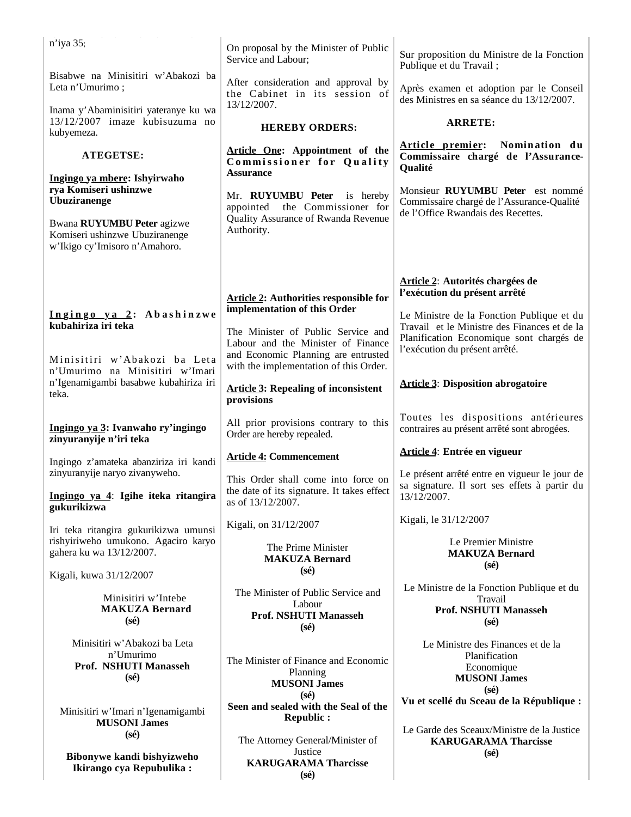| n'iya 35;                                                                                     | On proposal by the Minister of Public<br>Service and Labour;                                                                                              | Sur proposition du Ministre de la Fonction<br>Publique et du Travail;                                                      |
|-----------------------------------------------------------------------------------------------|-----------------------------------------------------------------------------------------------------------------------------------------------------------|----------------------------------------------------------------------------------------------------------------------------|
| Bisabwe na Minisitiri w'Abakozi ba<br>Leta n'Umurimo;                                         | After consideration and approval by<br>the Cabinet in its session of                                                                                      | Après examen et adoption par le Conseil<br>des Ministres en sa séance du 13/12/2007.                                       |
| Inama y'Abaminisitiri yateranye ku wa<br>13/12/2007 imaze kubisuzuma no<br>kubyemeza.         | 13/12/2007.<br><b>HEREBY ORDERS:</b>                                                                                                                      | <b>ARRETE:</b>                                                                                                             |
| <b>ATEGETSE:</b>                                                                              | Article One: Appointment of the<br>Commissioner for Quality                                                                                               | Article premier: Nomination du<br>Commissaire chargé de l'Assurance-<br>Qualité                                            |
| Ingingo ya mbere: Ishyirwaho<br>rya Komiseri ushinzwe                                         | <b>Assurance</b>                                                                                                                                          |                                                                                                                            |
| <b>Ubuziranenge</b>                                                                           | Mr. RUYUMBU Peter<br>is hereby<br>the Commissioner for<br>appointed                                                                                       | Monsieur RUYUMBU Peter est nommé<br>Commissaire chargé de l'Assurance-Qualité                                              |
| Bwana RUYUMBU Peter agizwe<br>Komiseri ushinzwe Ubuziranenge<br>w'Ikigo cy'Imisoro n'Amahoro. | Quality Assurance of Rwanda Revenue<br>Authority.                                                                                                         | de l'Office Rwandais des Recettes.                                                                                         |
|                                                                                               |                                                                                                                                                           |                                                                                                                            |
|                                                                                               | <b>Article 2: Authorities responsible for</b>                                                                                                             | Article 2: Autorités chargées de<br>l'exécution du présent arrêté                                                          |
| Ingingo ya 2: Abashinzwe<br>kubahiriza iri teka                                               | implementation of this Order                                                                                                                              | Le Ministre de la Fonction Publique et du                                                                                  |
| Minisitiri w'Abakozi ba Leta                                                                  | The Minister of Public Service and<br>Labour and the Minister of Finance<br>and Economic Planning are entrusted<br>with the implementation of this Order. | Travail et le Ministre des Finances et de la<br>Planification Economique sont chargés de<br>l'exécution du présent arrêté. |
| n'Umurimo na Minisitiri w'Imari<br>n'Igenamigambi basabwe kubahiriza iri<br>teka.             | <b>Article 3: Repealing of inconsistent</b><br>provisions                                                                                                 | <b>Article 3: Disposition abrogatoire</b>                                                                                  |
| Ingingo ya 3: Ivanwaho ry'ingingo<br>zinyuranyije n'iri teka                                  | All prior provisions contrary to this<br>Order are hereby repealed.                                                                                       | Toutes les dispositions antérieures<br>contraires au présent arrêté sont abrogées.                                         |
| Ingingo z'amateka abanziriza iri kandi                                                        | <b>Article 4: Commencement</b>                                                                                                                            | Article 4: Entrée en vigueur                                                                                               |
| zinyuranyije naryo zivanyweho.                                                                | This Order shall come into force on<br>the date of its signature. It takes effect                                                                         | Le présent arrêté entre en vigueur le jour de<br>sa signature. Il sort ses effets à partir du                              |
| Ingingo ya 4: Igihe iteka ritangira<br>gukurikizwa                                            | as of 13/12/2007.                                                                                                                                         | 13/12/2007.                                                                                                                |
| Iri teka ritangira gukurikizwa umunsi                                                         | Kigali, on 31/12/2007                                                                                                                                     | Kigali, le 31/12/2007                                                                                                      |
| rishyiriweho umukono. Agaciro karyo<br>gahera ku wa 13/12/2007.                               | The Prime Minister<br><b>MAKUZA Bernard</b>                                                                                                               | Le Premier Ministre<br><b>MAKUZA Bernard</b><br>$(s\acute{e})$                                                             |
| Kigali, kuwa 31/12/2007                                                                       | $(s\acute{e})$                                                                                                                                            | Le Ministre de la Fonction Publique et du                                                                                  |
| Minisitiri w'Intebe<br><b>MAKUZA Bernard</b><br>$(s\acute{e})$                                | The Minister of Public Service and<br>Labour<br><b>Prof. NSHUTI Manasseh</b>                                                                              | Travail<br>Prof. NSHUTI Manasseh<br>$(s\acute{e})$                                                                         |
| Minisitiri w'Abakozi ba Leta                                                                  | $(s\acute{e})$                                                                                                                                            | Le Ministre des Finances et de la                                                                                          |
| n'Umurimo<br>Prof. NSHUTI Manasseh                                                            | The Minister of Finance and Economic                                                                                                                      | Planification<br>Economique                                                                                                |
| $(s\acute{e})$                                                                                | Planning<br><b>MUSONI James</b>                                                                                                                           | <b>MUSONI James</b><br>$(s\acute{e})$                                                                                      |
| Minisitiri w'Imari n'Igenamigambi<br><b>MUSONI James</b>                                      | $(s\acute{e})$<br>Seen and sealed with the Seal of the<br><b>Republic:</b>                                                                                | Vu et scellé du Sceau de la République :                                                                                   |
| $(s\acute{e})$                                                                                | The Attorney General/Minister of                                                                                                                          | Le Garde des Sceaux/Ministre de la Justice<br><b>KARUGARAMA Tharcisse</b>                                                  |
| Bibonywe kandi bishyizweho<br>Ikirango cya Repubulika:                                        | Justice<br><b>KARUGARAMA Tharcisse</b><br>$(s\acute{e})$                                                                                                  | $(s\acute{e})$                                                                                                             |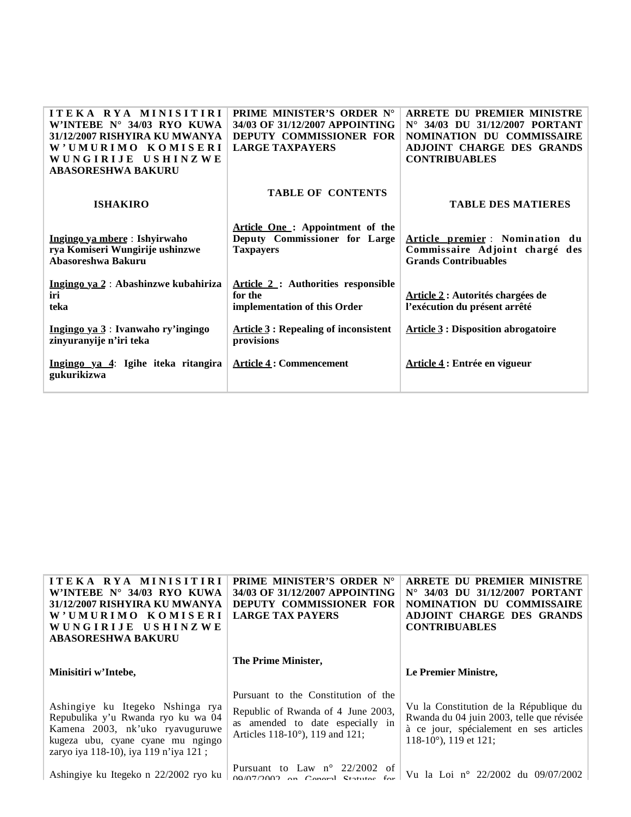| ITEKA RYA MINISITIRI<br>W'INTEBE $N^{\circ}$ 34/03 RYO KUWA<br>31/12/2007 RISHYIRA KU MWANYA<br><b>KOMISERI</b><br>W'UMURIMO<br>WUNGIRIJE USHINZWE<br><b>ABASORESHWA BAKURU</b> | <b>PRIME MINISTER'S ORDER N°</b><br>34/03 OF 31/12/2007 APPOINTING<br>DEPUTY COMMISSIONER FOR<br><b>LARGE TAXPAYERS</b> | <b>ARRETE DU PREMIER MINISTRE</b><br>N° 34/03 DU 31/12/2007 PORTANT<br>NOMINATION DU COMMISSAIRE<br>ADJOINT CHARGE DES GRANDS<br><b>CONTRIBUABLES</b> |
|---------------------------------------------------------------------------------------------------------------------------------------------------------------------------------|-------------------------------------------------------------------------------------------------------------------------|-------------------------------------------------------------------------------------------------------------------------------------------------------|
| <b>ISHAKIRO</b>                                                                                                                                                                 | <b>TABLE OF CONTENTS</b>                                                                                                | <b>TABLE DES MATIERES</b>                                                                                                                             |
| Ingingo ya mbere: Ishyirwaho<br>rya Komiseri Wungirije ushinzwe<br>Abasoreshwa Bakuru                                                                                           | Article One: Appointment of the<br>Deputy Commissioner for Large<br><b>Taxpayers</b>                                    | Article premier : Nomination du<br>Commissaire Adjoint chargé des<br><b>Grands Contribuables</b>                                                      |
| Ingingo ya 2: Abashinzwe kubahiriza<br>iri<br>teka                                                                                                                              | <b>Article 2: Authorities responsible</b><br>for the<br>implementation of this Order                                    | Article 2 : Autorités chargées de<br>l'exécution du présent arrêté                                                                                    |
| Ingingo ya 3: Ivanwaho ry'ingingo<br>zinyuranyije n'iri teka                                                                                                                    | <b>Article 3: Repealing of inconsistent</b><br>provisions                                                               | <b>Article 3: Disposition abrogatoire</b>                                                                                                             |
| Ingingo ya 4: Igihe iteka ritangira<br>gukurikizwa                                                                                                                              | <b>Article 4: Commencement</b>                                                                                          | Article 4 : Entrée en vigueur                                                                                                                         |

| <b>ITEKA RYA MINISITIRI</b><br>W'INTEBE $N^{\circ}$ 34/03 RYO KUWA<br>31/12/2007 RISHYIRA KU MWANYA<br>W'UMURIMO KOMISERI<br>WUNGIRIJE USHINZWE<br><b>ABASORESHWA BAKURU</b>            | PRIME MINISTER'S ORDER N°<br>34/03 OF 31/12/2007 APPOINTING<br>DEPUTY COMMISSIONER FOR<br><b>LARGE TAX PAYERS</b>                                | ARRETE DU PREMIER MINISTRE<br>$N^{\circ}$ 34/03 DU 31/12/2007 PORTANT<br>NOMINATION DU COMMISSAIRE<br>ADJOINT CHARGE DES GRANDS<br><b>CONTRIBUABLES</b>            |
|-----------------------------------------------------------------------------------------------------------------------------------------------------------------------------------------|--------------------------------------------------------------------------------------------------------------------------------------------------|--------------------------------------------------------------------------------------------------------------------------------------------------------------------|
| Minisitiri w'Intebe,                                                                                                                                                                    | The Prime Minister,                                                                                                                              | Le Premier Ministre,                                                                                                                                               |
| Ashingiye ku Itegeko Nshinga rya<br>Repubulika y'u Rwanda ryo ku wa 04<br>Kamena 2003, nk'uko ryavuguruwe<br>kugeza ubu, cyane cyane mu ngingo<br>zaryo iya 118-10), iya 119 n'iya 121; | Pursuant to the Constitution of the<br>Republic of Rwanda of 4 June 2003,<br>as amended to date especially in<br>Articles 118-10°), 119 and 121; | Vu la Constitution de la République du<br>Rwanda du 04 juin 2003, telle que révisée<br>à ce jour, spécialement en ses articles<br>118-10 $^{\circ}$ ), 119 et 121: |
| Ashingiye ku Itegeko n 22/2002 ryo ku                                                                                                                                                   | Pursuant to Law $n^{\circ}$ 22/2002 of<br>$00/07/2002$ on $Gapord$ Statutes for                                                                  | Vu la Loi nº 22/2002 du 09/07/2002                                                                                                                                 |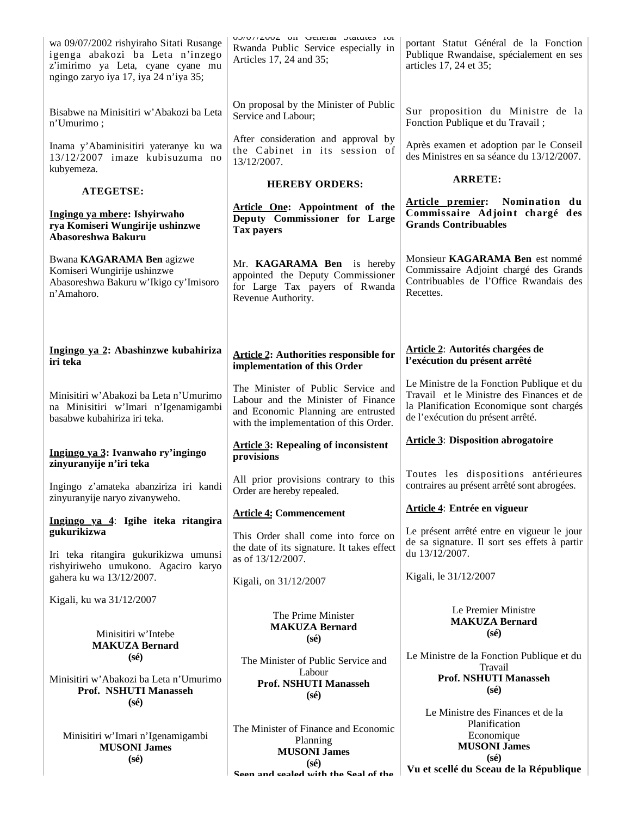| wa 09/07/2002 rishyiraho Sitati Rusange<br>igenga abakozi ba Leta n'inzego<br>z'imirimo ya Leta, cyane cyane mu<br>ngingo zaryo iya 17, iya 24 n'iya 35; | UZ/UT/ZUUZ UII UUIIUIAI DIAIUIUS IUI<br>Rwanda Public Service especially in<br>Articles 17, 24 and 35;                                                    | portant Statut Général de la Fonction<br>Publique Rwandaise, spécialement en ses<br>articles 17, 24 et 35;                                                              |
|----------------------------------------------------------------------------------------------------------------------------------------------------------|-----------------------------------------------------------------------------------------------------------------------------------------------------------|-------------------------------------------------------------------------------------------------------------------------------------------------------------------------|
| Bisabwe na Minisitiri w'Abakozi ba Leta<br>n'Umurimo;                                                                                                    | On proposal by the Minister of Public<br>Service and Labour;                                                                                              | Sur proposition du Ministre de la<br>Fonction Publique et du Travail;                                                                                                   |
| Inama y'Abaminisitiri yateranye ku wa<br>13/12/2007 imaze kubisuzuma no<br>kubyemeza.                                                                    | After consideration and approval by<br>the Cabinet in its session of<br>13/12/2007.                                                                       | Après examen et adoption par le Conseil<br>des Ministres en sa séance du 13/12/2007.                                                                                    |
| ATEGETSE:                                                                                                                                                | <b>HEREBY ORDERS:</b>                                                                                                                                     | <b>ARRETE:</b>                                                                                                                                                          |
| Ingingo ya mbere: Ishyirwaho<br>rya Komiseri Wungirije ushinzwe<br>Abasoreshwa Bakuru                                                                    | Article One: Appointment of the<br>Deputy Commissioner for Large<br><b>Tax payers</b>                                                                     | Article premier: Nomination du<br>Commissaire Adjoint chargé des<br><b>Grands Contribuables</b>                                                                         |
| Bwana KAGARAMA Ben agizwe<br>Komiseri Wungirije ushinzwe<br>Abasoreshwa Bakuru w'Ikigo cy'Imisoro<br>n'Amahoro.                                          | Mr. KAGARAMA Ben is hereby<br>appointed the Deputy Commissioner<br>for Large Tax payers of Rwanda<br>Revenue Authority.                                   | Monsieur KAGARAMA Ben est nommé<br>Commissaire Adjoint chargé des Grands<br>Contribuables de l'Office Rwandais des<br>Recettes.                                         |
| Ingingo ya 2: Abashinzwe kubahiriza<br>iri teka                                                                                                          | <b>Article 2: Authorities responsible for</b><br>implementation of this Order                                                                             | Article 2: Autorités chargées de<br>l'exécution du présent arrêté                                                                                                       |
| Minisitiri w'Abakozi ba Leta n'Umurimo<br>na Minisitiri w'Imari n'Igenamigambi<br>basabwe kubahiriza iri teka.                                           | The Minister of Public Service and<br>Labour and the Minister of Finance<br>and Economic Planning are entrusted<br>with the implementation of this Order. | Le Ministre de la Fonction Publique et du<br>Travail et le Ministre des Finances et de<br>la Planification Economique sont chargés<br>de l'exécution du présent arrêté. |
| Ingingo ya 3: Ivanwaho ry'ingingo<br>zinyuranyije n'iri teka                                                                                             | <b>Article 3: Repealing of inconsistent</b><br>provisions                                                                                                 | <b>Article 3: Disposition abrogatoire</b>                                                                                                                               |
| Ingingo z'amateka abanziriza iri kandi<br>zinyuranyije naryo zivanyweho.                                                                                 | All prior provisions contrary to this<br>Order are hereby repealed.                                                                                       | Toutes les dispositions antérieures<br>contraires au présent arrêté sont abrogées.                                                                                      |
| Ingingo ya 4: Igihe iteka ritangira                                                                                                                      | <b>Article 4: Commencement</b>                                                                                                                            | Article 4: Entrée en vigueur                                                                                                                                            |
| gukurikizwa<br>Iri teka ritangira gukurikizwa umunsi                                                                                                     | This Order shall come into force on<br>the date of its signature. It takes effect<br>as of 13/12/2007.                                                    | Le présent arrêté entre en vigueur le jour<br>de sa signature. Il sort ses effets à partir<br>du 13/12/2007.                                                            |
| rishyiriweho umukono. Agaciro karyo<br>gahera ku wa 13/12/2007.                                                                                          | Kigali, on 31/12/2007                                                                                                                                     | Kigali, le 31/12/2007                                                                                                                                                   |
| Kigali, ku wa 31/12/2007                                                                                                                                 |                                                                                                                                                           | Le Premier Ministre                                                                                                                                                     |
| Minisitiri w'Intebe<br><b>MAKUZA Bernard</b>                                                                                                             | The Prime Minister<br><b>MAKUZA Bernard</b><br>$(s\acute{e})$                                                                                             | <b>MAKUZA Bernard</b><br>$(s\acute{e})$                                                                                                                                 |
| $(s\acute{e})$                                                                                                                                           | The Minister of Public Service and                                                                                                                        | Le Ministre de la Fonction Publique et du<br>Travail                                                                                                                    |
| Minisitiri w'Abakozi ba Leta n'Umurimo<br>Prof. NSHUTI Manasseh<br>$(s\acute{e})$                                                                        | Labour<br><b>Prof. NSHUTI Manasseh</b><br>$(s\acute{e})$                                                                                                  | <b>Prof. NSHUTI Manasseh</b><br>$(s\acute{e})$                                                                                                                          |
|                                                                                                                                                          |                                                                                                                                                           | Le Ministre des Finances et de la<br>Planification                                                                                                                      |
| Minisitiri w'Imari n'Igenamigambi<br><b>MUSONI James</b>                                                                                                 | The Minister of Finance and Economic<br>Planning<br><b>MUSONI James</b>                                                                                   | Economique<br><b>MUSONI James</b>                                                                                                                                       |
| $(s\acute{e})$                                                                                                                                           | (s <sub>é</sub> )<br>Seen and sealed with the Seal of the                                                                                                 | $(s\acute{e})$<br>Vu et scellé du Sceau de la République                                                                                                                |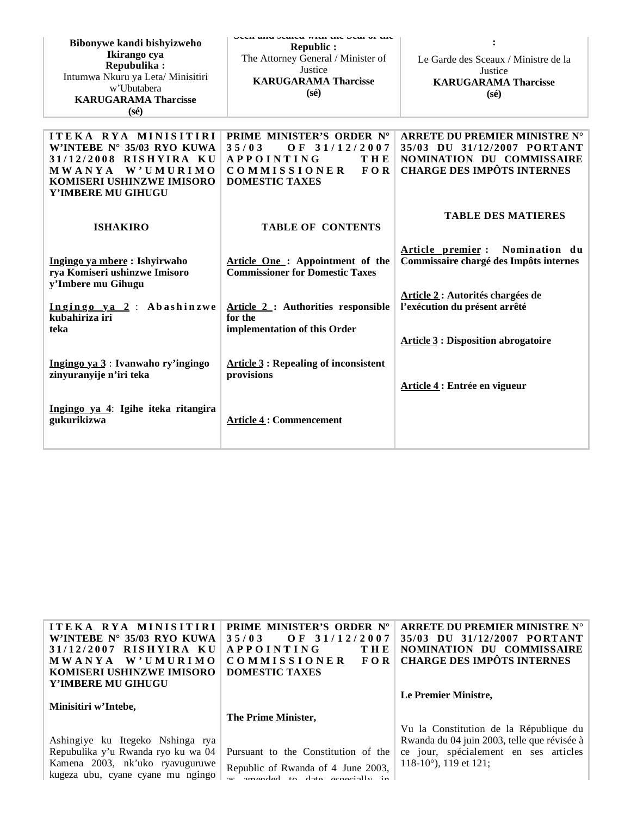| Bibonywe kandi bishyizweho<br>Ikirango cya<br>Repubulika:<br>Intumwa Nkuru ya Leta/ Minisitiri<br>w'Ubutabera<br><b>KARUGARAMA Tharcisse</b><br>$(s\acute{e})$ | un anu suntu wan un sun or un<br>Republic :<br>The Attorney General / Minister of<br>Justice<br><b>KARUGARAMA Tharcisse</b><br>$(s\acute{e})$        | Le Garde des Sceaux / Ministre de la<br>Justice<br><b>KARUGARAMA Tharcisse</b><br>$(s\acute{e})$                               |
|----------------------------------------------------------------------------------------------------------------------------------------------------------------|------------------------------------------------------------------------------------------------------------------------------------------------------|--------------------------------------------------------------------------------------------------------------------------------|
| ITEKA RYA MINISITIRI<br>W'INTEBE N° 35/03 RYO KUWA<br>31/12/2008 RISHYIRA KU<br>MWANYA W'UMURIMO<br>KOMISERI USHINZWE IMISORO<br>Y'IMBERE MU GIHUGU            | PRIME MINISTER'S ORDER N°<br>35/03<br>OF 31/12/2007<br><b>APPOINTING</b><br><b>THE</b><br><b>COMMISSIONER</b><br><b>FOR</b><br><b>DOMESTIC TAXES</b> | ARRETE DU PREMIER MINISTRE N°<br>35/03 DU 31/12/2007 PORTANT<br>NOMINATION DU COMMISSAIRE<br><b>CHARGE DES IMPÔTS INTERNES</b> |
| <b>ISHAKIRO</b>                                                                                                                                                | <b>TABLE OF CONTENTS</b>                                                                                                                             | <b>TABLE DES MATIERES</b>                                                                                                      |
| Ingingo ya mbere: Ishyirwaho<br>rya Komiseri ushinzwe Imisoro<br>y'Imbere mu Gihugu                                                                            | Article One: Appointment of the<br><b>Commissioner for Domestic Taxes</b>                                                                            | Nomination du<br>Article premier:<br>Commissaire chargé des Impôts internes                                                    |
| Ingingo ya 2: Abashinzwe<br>kubahiriza iri<br>teka                                                                                                             | Article 2: Authorities responsible<br>for the<br>implementation of this Order                                                                        | Article 2 : Autorités chargées de<br>l'exécution du présent arrêté<br><b>Article 3 : Disposition abrogatoire</b>               |
| Ingingo ya 3 : Ivanwaho ry'ingingo<br>zinyuranyije n'iri teka                                                                                                  | <b>Article 3: Repealing of inconsistent</b><br>provisions                                                                                            | Article 4 : Entrée en vigueur                                                                                                  |
| Ingingo ya 4: Igihe iteka ritangira<br>gukurikizwa                                                                                                             | <b>Article 4: Commencement</b>                                                                                                                       |                                                                                                                                |

| ITEKA RYA MINISITIRI<br>W'INTEBE $N^{\circ}$ 35/03 RYO KUWA<br>31/12/2007 RISHYIRA KU<br>MWANYA W'UMURIMO                                      | <b>PRIME MINISTER'S ORDER N°</b><br>OF $31/12/2007$<br>35/03<br><b>APPOINTING</b><br>THE<br><b>COMMISSIONER</b><br>FOR. | ARRETE DU PREMIER MINISTRE N°<br>35/03 DU 31/12/2007 PORTANT<br>NOMINATION DU COMMISSAIRE<br><b>CHARGE DES IMPÔTS INTERNES</b> |
|------------------------------------------------------------------------------------------------------------------------------------------------|-------------------------------------------------------------------------------------------------------------------------|--------------------------------------------------------------------------------------------------------------------------------|
| KOMISERI USHINZWE IMISORO<br>Y'IMBERE MU GIHUGU                                                                                                | <b>DOMESTIC TAXES</b>                                                                                                   |                                                                                                                                |
| Minisitiri w'Intebe,                                                                                                                           |                                                                                                                         | Le Premier Ministre,                                                                                                           |
|                                                                                                                                                | The Prime Minister,                                                                                                     | Vu la Constitution de la République du                                                                                         |
| Ashingiye ku Itegeko Nshinga rya<br>Repubulika y'u Rwanda ryo ku wa 04<br>Kamena 2003, nk'uko ryavuguruwe<br>kugeza ubu, cyane cyane mu ngingo | Pursuant to the Constitution of the<br>Republic of Rwanda of 4 June 2003,<br>ge amonded to date organized in            | Rwanda du 04 juin 2003, telle que révisée à<br>ce jour, spécialement en ses articles<br>118-10 $^{\circ}$ ), 119 et 121;       |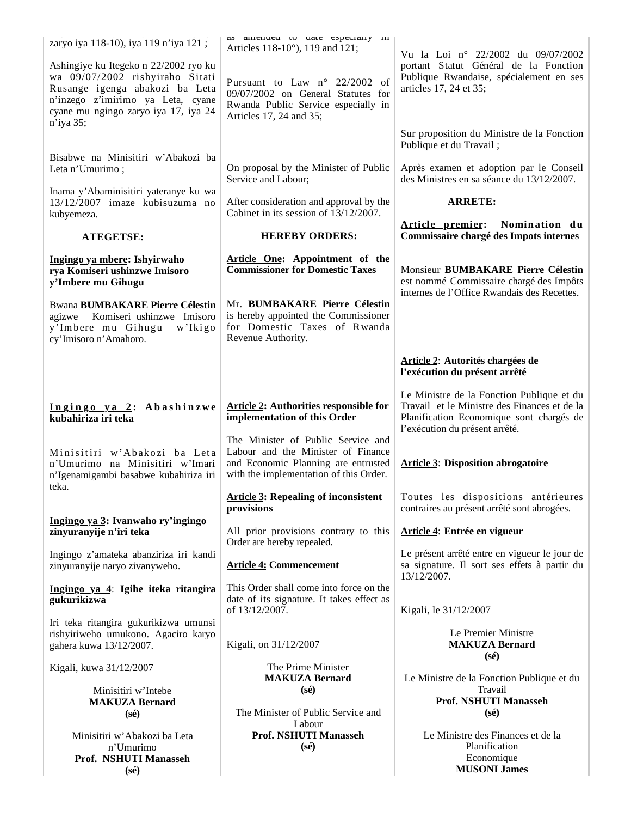| zaryo iya 118-10), iya 119 n'iya 121;                                                                                                                                                                | as amenueu to uate especially in<br>Articles 118-10°), 119 and 121;                                                                                       | Vu la Loi nº 22/2002 du 09/07/2002                                                                                                                                      |
|------------------------------------------------------------------------------------------------------------------------------------------------------------------------------------------------------|-----------------------------------------------------------------------------------------------------------------------------------------------------------|-------------------------------------------------------------------------------------------------------------------------------------------------------------------------|
| Ashingiye ku Itegeko n 22/2002 ryo ku<br>wa 09/07/2002 rishyiraho Sitati<br>Rusange igenga abakozi ba Leta<br>n'inzego z'imirimo ya Leta, cyane<br>cyane mu ngingo zaryo iya 17, iya 24<br>n'iya 35; | Pursuant to Law n° 22/2002 of<br>09/07/2002 on General Statutes for<br>Rwanda Public Service especially in<br>Articles 17, 24 and 35;                     | portant Statut Général de la Fonction<br>Publique Rwandaise, spécialement en ses<br>articles 17, 24 et 35;                                                              |
|                                                                                                                                                                                                      |                                                                                                                                                           | Sur proposition du Ministre de la Fonction<br>Publique et du Travail;                                                                                                   |
| Bisabwe na Minisitiri w'Abakozi ba<br>Leta n'Umurimo;                                                                                                                                                | On proposal by the Minister of Public<br>Service and Labour;                                                                                              | Après examen et adoption par le Conseil<br>des Ministres en sa séance du 13/12/2007.                                                                                    |
| Inama y'Abaminisitiri yateranye ku wa<br>$13/12/2007$ imaze kubisuzuma no<br>kubyemeza.                                                                                                              | After consideration and approval by the<br>Cabinet in its session of 13/12/2007.                                                                          | <b>ARRETE:</b>                                                                                                                                                          |
| <b>ATEGETSE:</b>                                                                                                                                                                                     | <b>HEREBY ORDERS:</b>                                                                                                                                     | Article premier: Nomination du<br>Commissaire chargé des Impots internes                                                                                                |
| Ingingo ya mbere: Ishyirwaho<br>rya Komiseri ushinzwe Imisoro<br>y'Imbere mu Gihugu                                                                                                                  | Article One: Appointment of the<br><b>Commissioner for Domestic Taxes</b>                                                                                 | Monsieur BUMBAKARE Pierre Célestin<br>est nommé Commissaire chargé des Impôts                                                                                           |
| <b>Bwana BUMBAKARE Pierre Célestin</b><br>agizwe Komiseri ushinzwe Imisoro<br>y'Imbere mu Gihugu<br>w'Ikigo<br>cy'Imisoro n'Amahoro.                                                                 | Mr. BUMBAKARE Pierre Célestin<br>is hereby appointed the Commissioner<br>for Domestic Taxes of Rwanda<br>Revenue Authority.                               | internes de l'Office Rwandais des Recettes.                                                                                                                             |
|                                                                                                                                                                                                      |                                                                                                                                                           | Article 2: Autorités chargées de<br>l'exécution du présent arrêté                                                                                                       |
| Ingingo ya 2: Abashinzwe<br>kubahiriza iri teka                                                                                                                                                      | <b>Article 2: Authorities responsible for</b><br>implementation of this Order                                                                             | Le Ministre de la Fonction Publique et du<br>Travail et le Ministre des Finances et de la<br>Planification Economique sont chargés de<br>l'exécution du présent arrêté. |
| Minisitiri w'Abakozi ba Leta<br>n'Umurimo na Minisitiri w'Imari<br>n'Igenamigambi basabwe kubahiriza iri                                                                                             | The Minister of Public Service and<br>Labour and the Minister of Finance<br>and Economic Planning are entrusted<br>with the implementation of this Order. | <b>Article 3: Disposition abrogatoire</b>                                                                                                                               |
| teka.                                                                                                                                                                                                | <b>Article 3: Repealing of inconsistent</b><br>provisions                                                                                                 | Toutes les dispositions antérieures<br>contraires au présent arrêté sont abrogées.                                                                                      |
| Ingingo ya 3: Ivanwaho ry'ingingo<br>zinyuranyije n'iri teka                                                                                                                                         | All prior provisions contrary to this<br>Order are hereby repealed.                                                                                       | Article 4: Entrée en vigueur                                                                                                                                            |
| Ingingo z'amateka abanziriza iri kandi<br>zinyuranyije naryo zivanyweho.                                                                                                                             | <b>Article 4: Commencement</b>                                                                                                                            | Le présent arrêté entre en vigueur le jour de<br>sa signature. Il sort ses effets à partir du<br>13/12/2007.                                                            |
| Ingingo ya 4: Igihe iteka ritangira<br>gukurikizwa                                                                                                                                                   | This Order shall come into force on the<br>date of its signature. It takes effect as<br>of 13/12/2007.                                                    | Kigali, le 31/12/2007                                                                                                                                                   |
| Iri teka ritangira gukurikizwa umunsi<br>rishyiriweho umukono. Agaciro karyo<br>gahera kuwa 13/12/2007.                                                                                              | Kigali, on 31/12/2007                                                                                                                                     | Le Premier Ministre<br><b>MAKUZA Bernard</b>                                                                                                                            |
| Kigali, kuwa 31/12/2007                                                                                                                                                                              | The Prime Minister<br><b>MAKUZA Bernard</b>                                                                                                               | $(s\acute{e})$<br>Le Ministre de la Fonction Publique et du                                                                                                             |
| Minisitiri w'Intebe<br><b>MAKUZA Bernard</b><br>$(s\acute{e})$                                                                                                                                       | $(s\acute{e})$<br>The Minister of Public Service and                                                                                                      | Travail<br><b>Prof. NSHUTI Manasseh</b><br>$(s\acute{e})$                                                                                                               |
| Minisitiri w'Abakozi ba Leta<br>n'Umurimo<br>Prof. NSHUTI Manasseh<br>$(s\acute{e})$                                                                                                                 | Labour<br><b>Prof. NSHUTI Manasseh</b><br>$(s\acute{e})$                                                                                                  | Le Ministre des Finances et de la<br>Planification<br>Economique<br><b>MUSONI James</b>                                                                                 |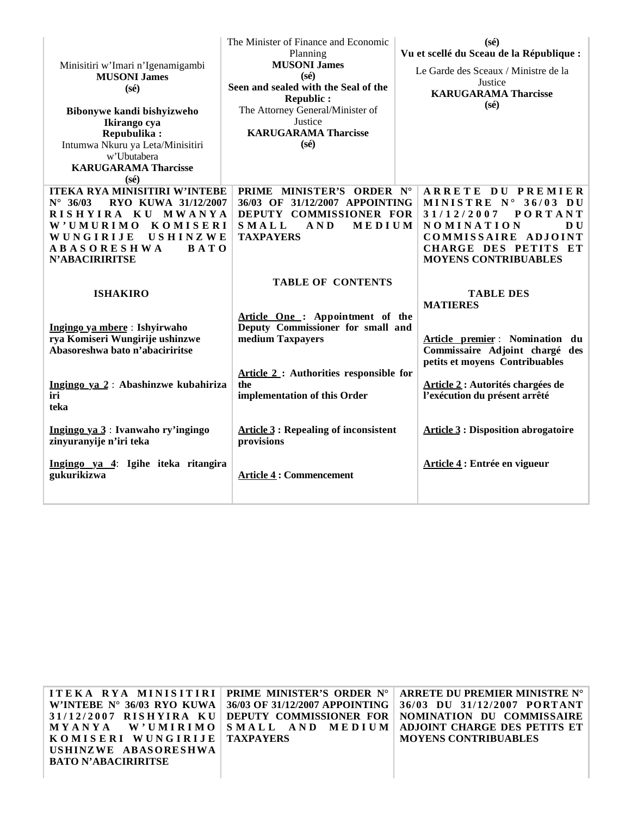| Minisitiri w'Imari n'Igenamigambi<br><b>MUSONI James</b><br>$(s\acute{e})$<br>Bibonywe kandi bishyizweho<br>Ikirango cya<br>Repubulika:<br>Intumwa Nkuru ya Leta/Minisitiri<br>w'Ubutabera<br><b>KARUGARAMA Tharcisse</b><br>$(s\acute{e})$ | The Minister of Finance and Economic<br>Planning<br><b>MUSONI James</b><br>$(s\acute{e})$<br>Seen and sealed with the Seal of the<br><b>Republic:</b><br>The Attorney General/Minister of<br>Justice<br><b>KARUGARAMA Tharcisse</b><br>$(s\acute{e})$              | $(s\acute{e})$<br>Vu et scellé du Sceau de la République :<br>Le Garde des Sceaux / Ministre de la<br>Justice<br><b>KARUGARAMA Tharcisse</b><br>$(s\acute{e})$                                                                                                |
|---------------------------------------------------------------------------------------------------------------------------------------------------------------------------------------------------------------------------------------------|--------------------------------------------------------------------------------------------------------------------------------------------------------------------------------------------------------------------------------------------------------------------|---------------------------------------------------------------------------------------------------------------------------------------------------------------------------------------------------------------------------------------------------------------|
| <b>ITEKA RYA MINISITIRI W'INTEBE</b>                                                                                                                                                                                                        | PRIME MINISTER'S ORDER N°                                                                                                                                                                                                                                          | ARRETE DU PREMIER                                                                                                                                                                                                                                             |
| $N^{\circ}$ 36/03<br>RYO KUWA 31/12/2007                                                                                                                                                                                                    | 36/03 OF 31/12/2007 APPOINTING                                                                                                                                                                                                                                     | MINISTRE N° 36/03 DU                                                                                                                                                                                                                                          |
| RISHYIRA KU MWANYA                                                                                                                                                                                                                          | DEPUTY COMMISSIONER FOR                                                                                                                                                                                                                                            | 31/12/2007<br><b>PORTANT</b>                                                                                                                                                                                                                                  |
| W'UMURIMO KOMISERI                                                                                                                                                                                                                          | SMALL<br>AND<br>MEDIUM                                                                                                                                                                                                                                             | <b>NOMINATION</b><br>DU.                                                                                                                                                                                                                                      |
| USHINZWE<br>WUNGIRIJE                                                                                                                                                                                                                       | <b>TAXPAYERS</b>                                                                                                                                                                                                                                                   | COMMISSAIRE ADJOINT                                                                                                                                                                                                                                           |
| <b>ABASORESHWA</b><br><b>BATO</b>                                                                                                                                                                                                           |                                                                                                                                                                                                                                                                    | CHARGE DES PETITS ET                                                                                                                                                                                                                                          |
| <b>N'ABACIRIRITSE</b>                                                                                                                                                                                                                       |                                                                                                                                                                                                                                                                    | <b>MOYENS CONTRIBUABLES</b>                                                                                                                                                                                                                                   |
| <b>ISHAKIRO</b><br>Ingingo ya mbere: Ishyirwaho<br>rya Komiseri Wungirije ushinzwe<br>Abasoreshwa bato n'abaciriritse<br>Ingingo ya 2: Abashinzwe kubahiriza<br>iri<br>teka<br>Ingingo ya 3: Ivanwaho ry'ingingo<br>zinyuranyije n'iri teka | <b>TABLE OF CONTENTS</b><br>Article One: Appointment of the<br>Deputy Commissioner for small and<br>medium Taxpayers<br>Article 2: Authorities responsible for<br>the<br>implementation of this Order<br><b>Article 3: Repealing of inconsistent</b><br>provisions | <b>TABLE DES</b><br><b>MATIERES</b><br>Article premier : Nomination du<br>Commissaire Adjoint chargé des<br>petits et moyens Contribuables<br>Article 2: Autorités chargées de<br>l'exécution du présent arrêté<br><b>Article 3 : Disposition abrogatoire</b> |
| Ingingo ya 4: Igihe iteka ritangira<br>gukurikizwa                                                                                                                                                                                          | <b>Article 4: Commencement</b>                                                                                                                                                                                                                                     | Article 4: Entrée en vigueur                                                                                                                                                                                                                                  |

| <b>ITEKA RYA MINISITIRI PRIME MINISTER'S ORDER N°</b>                | ARRETE DU PREMIER MINISTRE N°                                            |
|----------------------------------------------------------------------|--------------------------------------------------------------------------|
| W'INTEBE $N^{\circ}$ 36/03 RYO KUWA   36/03 OF 31/12/2007 APPOINTING | 36/03 DU 31/12/2007 PORTANT                                              |
|                                                                      | 31/12/2007 RISHYIRA KU DEPUTY COMMISSIONER FOR NOMINATION DU COMMISSAIRE |
|                                                                      | MYANYA W'UMIRIMO SMALL AND MEDIUM ADJOINT CHARGE DES PETITS ET           |
| KOMISERI WUNGIRIJE   TAXPAYERS                                       | <b>MOYENS CONTRIBUABLES</b>                                              |
| USHINZWE ABASORESHWA                                                 |                                                                          |
| <b>BATO N'ABACIRIRITSE</b>                                           |                                                                          |
|                                                                      |                                                                          |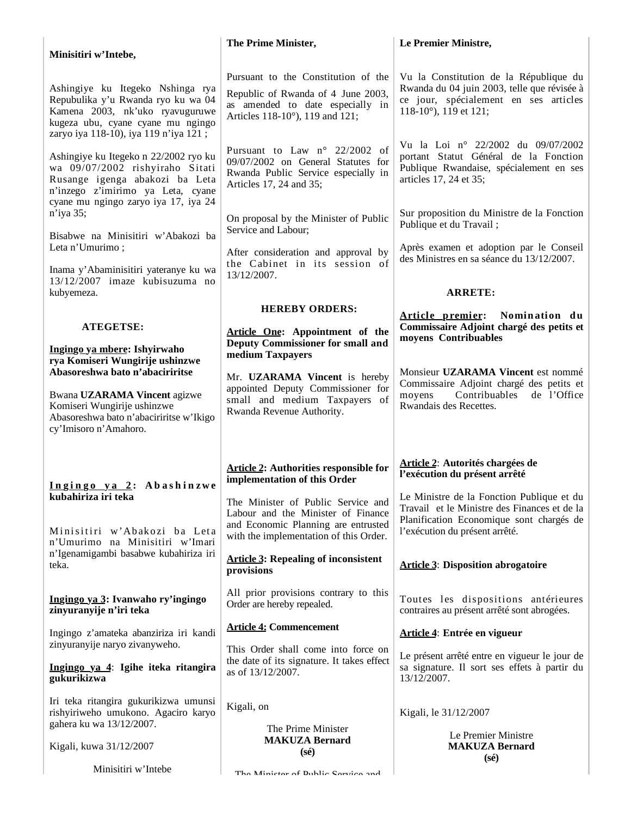| Minisitiri w'Intebe,                                                                                                                                                                     | The Prime Minister,                                                                                                                              | Le Premier Ministre,                                                                                                                                    |
|------------------------------------------------------------------------------------------------------------------------------------------------------------------------------------------|--------------------------------------------------------------------------------------------------------------------------------------------------|---------------------------------------------------------------------------------------------------------------------------------------------------------|
| Ashingiye ku Itegeko Nshinga rya<br>Repubulika y'u Rwanda ryo ku wa 04<br>Kamena 2003, nk'uko ryavuguruwe<br>kugeza ubu, cyane cyane mu ngingo                                           | Pursuant to the Constitution of the<br>Republic of Rwanda of 4 June 2003,<br>as amended to date especially in<br>Articles 118-10°), 119 and 121; | Vu la Constitution de la République du<br>Rwanda du 04 juin 2003, telle que révisée à<br>ce jour, spécialement en ses articles<br>118-10°), 119 et 121; |
| zaryo iya 118-10), iya 119 n'iya 121;<br>Ashingiye ku Itegeko n 22/2002 ryo ku<br>wa 09/07/2002 rishyiraho Sitati<br>Rusange igenga abakozi ba Leta<br>n'inzego z'imirimo ya Leta, cyane | Pursuant to Law $n^{\circ}$ 22/2002 of<br>09/07/2002 on General Statutes for<br>Rwanda Public Service especially in<br>Articles 17, 24 and 35;   | Vu la Loi nº 22/2002 du 09/07/2002<br>portant Statut Général de la Fonction<br>Publique Rwandaise, spécialement en ses<br>articles 17, 24 et 35;        |
| cyane mu ngingo zaryo iya 17, iya 24<br>n'iya 35;<br>Bisabwe na Minisitiri w'Abakozi ba                                                                                                  | On proposal by the Minister of Public<br>Service and Labour;                                                                                     | Sur proposition du Ministre de la Fonction<br>Publique et du Travail;                                                                                   |
| Leta n'Umurimo;<br>Inama y'Abaminisitiri yateranye ku wa                                                                                                                                 | After consideration and approval by<br>the Cabinet in its session of<br>13/12/2007.                                                              | Après examen et adoption par le Conseil<br>des Ministres en sa séance du 13/12/2007.                                                                    |
| 13/12/2007 imaze kubisuzuma no<br>kubyemeza.                                                                                                                                             |                                                                                                                                                  | <b>ARRETE:</b>                                                                                                                                          |
| <b>ATEGETSE:</b>                                                                                                                                                                         | <b>HEREBY ORDERS:</b><br>Article One: Appointment of the                                                                                         | Article premier: Nomination du<br>Commissaire Adjoint chargé des petits et<br>moyens Contribuables                                                      |
| Ingingo ya mbere: Ishyirwaho<br>rya Komiseri Wungirije ushinzwe<br>Abasoreshwa bato n'abaciriritse<br>Bwana UZARAMA Vincent agizwe                                                       | <b>Deputy Commissioner for small and</b><br>medium Taxpayers<br>Mr. UZARAMA Vincent is hereby<br>appointed Deputy Commissioner for               | Monsieur UZARAMA Vincent est nommé<br>Commissaire Adjoint chargé des petits et<br>Contribuables<br>de l'Office<br>moyens                                |
| Komiseri Wungirije ushinzwe<br>Abasoreshwa bato n'abaciriritse w'Ikigo<br>cy'Imisoro n'Amahoro.                                                                                          | small and medium Taxpayers of<br>Rwanda Revenue Authority.                                                                                       | Rwandais des Recettes.                                                                                                                                  |
| Ingingo ya 2: Abashinzwe                                                                                                                                                                 | <b>Article 2: Authorities responsible for</b><br>implementation of this Order                                                                    | Article 2: Autorités chargées de<br>l'exécution du présent arrêté                                                                                       |
| kubahiriza iri teka                                                                                                                                                                      | The Minister of Public Service and<br>Labour and the Minister of Finance<br>and Economic Planning are entrusted                                  | Le Ministre de la Fonction Publique et du<br>Travail et le Ministre des Finances et de la<br>Planification Economique sont chargés de                   |
| Minisitiri w'Abakozi ba Leta<br>n'Umurimo na Minisitiri w'Imari                                                                                                                          | with the implementation of this Order.                                                                                                           | l'exécution du présent arrêté.                                                                                                                          |
| n'Igenamigambi basabwe kubahiriza iri<br>teka.                                                                                                                                           | <b>Article 3: Repealing of inconsistent</b><br>provisions                                                                                        | <b>Article 3: Disposition abrogatoire</b>                                                                                                               |
| Ingingo ya 3: Ivanwaho ry'ingingo<br>zinyuranyije n'iri teka                                                                                                                             | All prior provisions contrary to this<br>Order are hereby repealed.                                                                              | Toutes les dispositions antérieures<br>contraires au présent arrêté sont abrogées.                                                                      |
| Ingingo z'amateka abanziriza iri kandi                                                                                                                                                   | <b>Article 4: Commencement</b>                                                                                                                   | Article 4: Entrée en vigueur                                                                                                                            |
| zinyuranyije naryo zivanyweho.<br>Ingingo ya 4: Igihe iteka ritangira<br>gukurikizwa                                                                                                     | This Order shall come into force on<br>the date of its signature. It takes effect<br>as of 13/12/2007.                                           | Le présent arrêté entre en vigueur le jour de<br>sa signature. Il sort ses effets à partir du<br>13/12/2007.                                            |
| Iri teka ritangira gukurikizwa umunsi<br>rishyiriweho umukono. Agaciro karyo<br>gahera ku wa 13/12/2007.                                                                                 | Kigali, on                                                                                                                                       | Kigali, le 31/12/2007                                                                                                                                   |
| Kigali, kuwa 31/12/2007                                                                                                                                                                  | The Prime Minister<br><b>MAKUZA Bernard</b><br>$(s\acute{e})$                                                                                    | Le Premier Ministre<br><b>MAKUZA Bernard</b><br>$(s\acute{e})$                                                                                          |
| Minisitiri w'Intebe                                                                                                                                                                      | The Minister of Dublic Corriers and                                                                                                              |                                                                                                                                                         |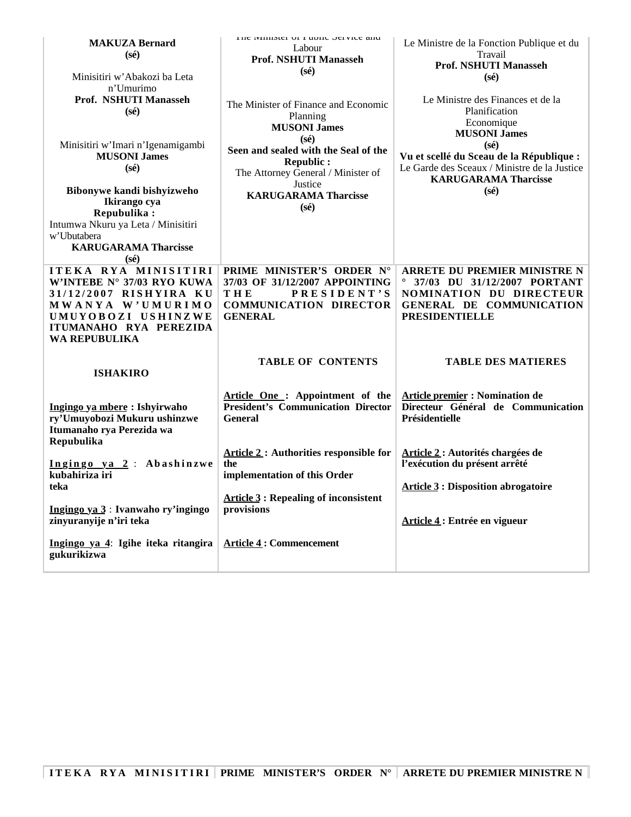| <b>MAKUZA Bernard</b><br>$(s\acute{e})$<br>Minisitiri w'Abakozi ba Leta<br>n'Umurimo                                                                                     | THE IMITIATEL OF F HUIL JEI VICE AIR<br>Labour<br>Prof. NSHUTI Manasseh<br>$(s\acute{e})$                                                   | Le Ministre de la Fonction Publique et du<br>Travail<br><b>Prof. NSHUTI Manasseh</b><br>$(s\acute{e})$                                                      |
|--------------------------------------------------------------------------------------------------------------------------------------------------------------------------|---------------------------------------------------------------------------------------------------------------------------------------------|-------------------------------------------------------------------------------------------------------------------------------------------------------------|
| Prof. NSHUTI Manasseh<br>$(s\acute{e})$                                                                                                                                  | The Minister of Finance and Economic<br>Planning<br><b>MUSONI James</b><br>(s <sub>e</sub> )                                                | Le Ministre des Finances et de la<br>Planification<br>Economique<br><b>MUSONI</b> James                                                                     |
| Minisitiri w'Imari n'Igenamigambi<br><b>MUSONI James</b><br>$(s\acute{e})$<br>Bibonywe kandi bishyizweho                                                                 | Seen and sealed with the Seal of the<br><b>Republic:</b><br>The Attorney General / Minister of<br>Justice                                   | $(s\acute{e})$<br>Vu et scellé du Sceau de la République :<br>Le Garde des Sceaux / Ministre de la Justice<br><b>KARUGARAMA Tharcisse</b><br>$(s\acute{e})$ |
| Ikirango cya<br>Repubulika:<br>Intumwa Nkuru ya Leta / Minisitiri<br>w'Ubutabera<br><b>KARUGARAMA Tharcisse</b><br>$(s\acute{e})$                                        | <b>KARUGARAMA Tharcisse</b><br>$(s\acute{e})$                                                                                               |                                                                                                                                                             |
| ITEKA RYA MINISITIRI<br>W'INTEBE N° 37/03 RYO KUWA<br>31/12/2007 RISHYIRA KU<br>MWANYA W'UMURIMO<br>UMUYOBOZI USHINZWE<br>ITUMANAHO RYA PEREZIDA<br><b>WA REPUBULIKA</b> | PRIME MINISTER'S ORDER N°<br>37/03 OF 31/12/2007 APPOINTING<br><b>PRESIDENT'S</b><br>THE<br><b>COMMUNICATION DIRECTOR</b><br><b>GENERAL</b> | <b>ARRETE DU PREMIER MINISTRE N</b><br>37/03 DU 31/12/2007 PORTANT<br>NOMINATION DU DIRECTEUR<br>GENERAL DE COMMUNICATION<br><b>PRESIDENTIELLE</b>          |
| <b>ISHAKIRO</b>                                                                                                                                                          | <b>TABLE OF CONTENTS</b>                                                                                                                    | <b>TABLE DES MATIERES</b>                                                                                                                                   |
| Ingingo ya mbere: Ishyirwaho<br>ry'Umuyobozi Mukuru ushinzwe<br>Itumanaho rya Perezida wa<br>Repubulika                                                                  | Article One: Appointment of the<br><b>President's Communication Director</b><br><b>General</b>                                              | <b>Article premier : Nomination de</b><br>Directeur Général de Communication<br>Présidentielle                                                              |
| Ingingo ya 2: Abashinzwe<br>kubahiriza iri<br>teka                                                                                                                       | <b>Article 2: Authorities responsible for</b><br>the<br>implementation of this Order                                                        | Article 2: Autorités chargées de<br>l'exécution du présent arrêté<br><b>Article 3 : Disposition abrogatoire</b>                                             |
| Ingingo ya 3: Ivanwaho ry'ingingo<br>zinyuranyije n'iri teka                                                                                                             | <b>Article 3: Repealing of inconsistent</b><br>provisions                                                                                   | Article 4: Entrée en vigueur                                                                                                                                |
| Ingingo ya 4: Igihe iteka ritangira<br>gukurikizwa                                                                                                                       | <b>Article 4: Commencement</b>                                                                                                              |                                                                                                                                                             |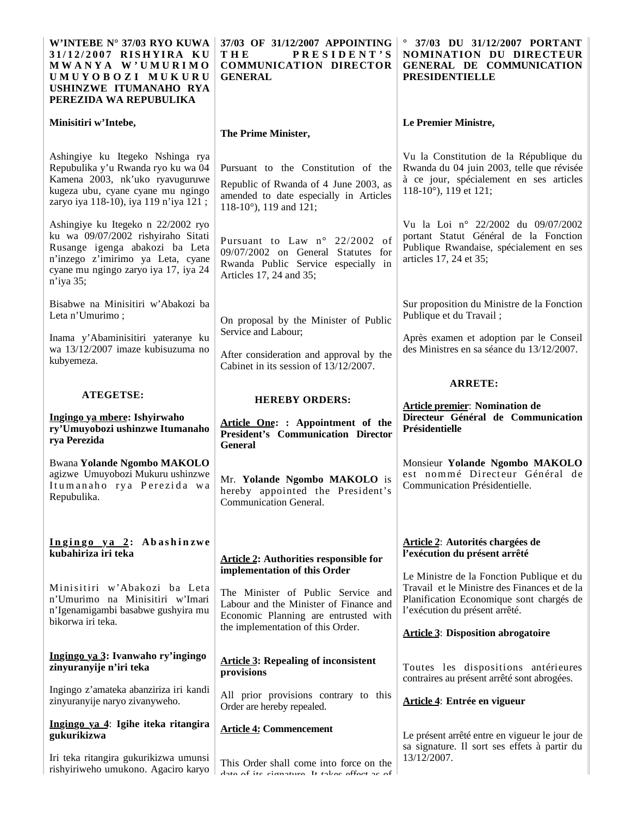| W'INTEBE N° 37/03 RYO KUWA<br>31/12/2007 RISHYIRA KU<br>MWANYA W'UMURIMO<br>UMUYOBOZI MUKURU<br>USHINZWE ITUMANAHO RYA<br>PEREZIDA WA REPUBULIKA                                                     | 37/03 OF 31/12/2007 APPOINTING<br>тне<br><b>PRESIDENT'S</b><br><b>COMMUNICATION DIRECTOR</b><br><b>GENERAL</b>                                              | $^{\circ}$ 37/03 DU 31/12/2007 PORTANT<br><b>NOMINATION DU DIRECTEUR</b><br>GENERAL DE COMMUNICATION<br><b>PRESIDENTIELLE</b>                                      |
|------------------------------------------------------------------------------------------------------------------------------------------------------------------------------------------------------|-------------------------------------------------------------------------------------------------------------------------------------------------------------|--------------------------------------------------------------------------------------------------------------------------------------------------------------------|
| Minisitiri w'Intebe,                                                                                                                                                                                 | The Prime Minister,                                                                                                                                         | Le Premier Ministre,                                                                                                                                               |
| Ashingiye ku Itegeko Nshinga rya<br>Repubulika y'u Rwanda ryo ku wa 04<br>Kamena 2003, nk'uko ryavuguruwe<br>kugeza ubu, cyane cyane mu ngingo<br>zaryo iya 118-10), iya 119 n'iya 121;              | Pursuant to the Constitution of the<br>Republic of Rwanda of 4 June 2003, as<br>amended to date especially in Articles<br>118-10 $^{\circ}$ ), 119 and 121; | Vu la Constitution de la République du<br>Rwanda du 04 juin 2003, telle que révisée<br>à ce jour, spécialement en ses articles<br>118-10 $^{\circ}$ ), 119 et 121; |
| Ashingiye ku Itegeko n 22/2002 ryo<br>ku wa 09/07/2002 rishyiraho Sitati<br>Rusange igenga abakozi ba Leta<br>n'inzego z'imirimo ya Leta, cyane<br>cyane mu ngingo zaryo iya 17, iya 24<br>n'iya 35; | Pursuant to Law n° 22/2002 of<br>09/07/2002 on General Statutes for<br>Rwanda Public Service especially in<br>Articles 17, 24 and 35;                       | Vu la Loi nº 22/2002 du 09/07/2002<br>portant Statut Général de la Fonction<br>Publique Rwandaise, spécialement en ses<br>articles 17, 24 et 35;                   |
| Bisabwe na Minisitiri w'Abakozi ba<br>Leta n'Umurimo;                                                                                                                                                | On proposal by the Minister of Public                                                                                                                       | Sur proposition du Ministre de la Fonction<br>Publique et du Travail;                                                                                              |
| Inama y'Abaminisitiri yateranye ku<br>wa 13/12/2007 imaze kubisuzuma no<br>kubyemeza.                                                                                                                | Service and Labour;<br>After consideration and approval by the<br>Cabinet in its session of 13/12/2007.                                                     | Après examen et adoption par le Conseil<br>des Ministres en sa séance du 13/12/2007.                                                                               |
| <b>ATEGETSE:</b>                                                                                                                                                                                     |                                                                                                                                                             | <b>ARRETE:</b>                                                                                                                                                     |
| Ingingo ya mbere: Ishyirwaho<br>ry'Umuyobozi ushinzwe Itumanaho<br>rya Perezida                                                                                                                      | <b>HEREBY ORDERS:</b><br>Article One: : Appointment of the<br><b>President's Communication Director</b><br><b>General</b>                                   | <b>Article premier: Nomination de</b><br>Directeur Général de Communication<br>Présidentielle                                                                      |
| <b>Bwana Yolande Ngombo MAKOLO</b><br>agizwe Umuyobozi Mukuru ushinzwe<br>Itumanaho rya Perezida wa<br>Repubulika.                                                                                   | Mr. Yolande Ngombo MAKOLO is<br>hereby appointed the President's<br>Communication General.                                                                  | Monsieur Yolande Ngombo MAKOLO<br>est nommé Directeur Général de<br>Communication Présidentielle.                                                                  |
| Ingingo ya 2: Abashinzwe<br>kubahiriza iri teka                                                                                                                                                      | <b>Article 2: Authorities responsible for</b><br>implementation of this Order                                                                               | <b>Article 2: Autorités chargées de</b><br>l'exécution du présent arrêté                                                                                           |
| Minisitiri w'Abakozi ba Leta<br>n'Umurimo na Minisitiri w'Imari                                                                                                                                      |                                                                                                                                                             | Le Ministre de la Fonction Publique et du                                                                                                                          |
| n'Igenamigambi basabwe gushyira mu<br>bikorwa iri teka.                                                                                                                                              | The Minister of Public Service and<br>Labour and the Minister of Finance and<br>Economic Planning are entrusted with                                        | Travail et le Ministre des Finances et de la<br>Planification Economique sont chargés de<br>l'exécution du présent arrêté.                                         |
|                                                                                                                                                                                                      | the implementation of this Order.                                                                                                                           | <b>Article 3: Disposition abrogatoire</b>                                                                                                                          |
| Ingingo ya 3: Ivanwaho ry'ingingo<br>zinyuranyije n'iri teka                                                                                                                                         | <b>Article 3: Repealing of inconsistent</b><br>provisions                                                                                                   | Toutes les dispositions antérieures<br>contraires au présent arrêté sont abrogées.                                                                                 |
| Ingingo z'amateka abanziriza iri kandi<br>zinyuranyije naryo zivanyweho.                                                                                                                             | All prior provisions contrary to this<br>Order are hereby repealed.                                                                                         | Article 4: Entrée en vigueur                                                                                                                                       |
| <u>Ingingo ya 4</u> : Igihe iteka ritangira<br>gukurikizwa                                                                                                                                           | <b>Article 4: Commencement</b>                                                                                                                              | Le présent arrêté entre en vigueur le jour de<br>sa signature. Il sort ses effets à partir du                                                                      |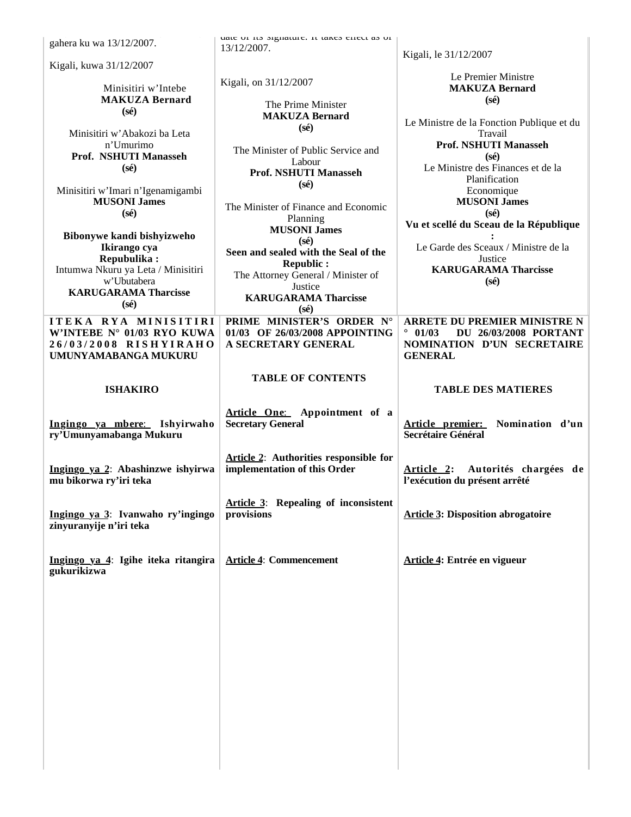| gahera ku wa 13/12/2007.                                 | uate ut its signature. It takes effect as ut              |                                                                            |
|----------------------------------------------------------|-----------------------------------------------------------|----------------------------------------------------------------------------|
|                                                          | 13/12/2007.                                               | Kigali, le 31/12/2007                                                      |
| Kigali, kuwa 31/12/2007                                  |                                                           |                                                                            |
| Minisitiri w'Intebe                                      | Kigali, on 31/12/2007                                     | Le Premier Ministre<br><b>MAKUZA Bernard</b>                               |
| <b>MAKUZA Bernard</b>                                    |                                                           | $(s\acute{e})$                                                             |
| $(s\acute{e})$                                           | The Prime Minister<br><b>MAKUZA Bernard</b>               |                                                                            |
|                                                          | $(s\acute{e})$                                            | Le Ministre de la Fonction Publique et du                                  |
| Minisitiri w'Abakozi ba Leta<br>n'Umurimo                |                                                           | Travail<br><b>Prof. NSHUTI Manasseh</b>                                    |
| Prof. NSHUTI Manasseh                                    | The Minister of Public Service and                        | $(s\acute{e})$                                                             |
| $(s\acute{e})$                                           | Labour<br>Prof. NSHUTI Manasseh                           | Le Ministre des Finances et de la                                          |
|                                                          | $(s\acute{e})$                                            | Planification                                                              |
| Minisitiri w'Imari n'Igenamigambi<br><b>MUSONI James</b> |                                                           | Economique<br><b>MUSONI James</b>                                          |
| $(s\acute{e})$                                           | The Minister of Finance and Economic                      | $(s\acute{e})$                                                             |
|                                                          | Planning<br><b>MUSONI James</b>                           | Vu et scellé du Sceau de la République                                     |
| Bibonywe kandi bishyizweho                               | $(s\acute{e})$                                            |                                                                            |
| Ikirango cya<br>Repubulika:                              | Seen and sealed with the Seal of the                      | Le Garde des Sceaux / Ministre de la<br>Justice                            |
| Intumwa Nkuru ya Leta / Minisitiri                       | <b>Republic:</b>                                          | <b>KARUGARAMA Tharcisse</b>                                                |
| w'Ubutabera                                              | The Attorney General / Minister of<br>Justice             | $(s\acute{e})$                                                             |
| <b>KARUGARAMA Tharcisse</b>                              | <b>KARUGARAMA Tharcisse</b>                               |                                                                            |
| $(s\acute{e})$                                           | $(s\acute{e})$                                            |                                                                            |
| ITEKA RYA MINISITIRI                                     | PRIME MINISTER'S ORDER N°                                 | <b>ARRETE DU PREMIER MINISTRE N</b><br>$\circ$                             |
| W'INTEBE N° 01/03 RYO KUWA<br>26/03/2008 RISHYIRAHO      | 01/03 OF 26/03/2008 APPOINTING<br>A SECRETARY GENERAL     | 01/03<br><b>DU 26/03/2008 PORTANT</b><br><b>NOMINATION D'UN SECRETAIRE</b> |
| UMUNYAMABANGA MUKURU                                     |                                                           | <b>GENERAL</b>                                                             |
|                                                          |                                                           |                                                                            |
| <b>ISHAKIRO</b>                                          | <b>TABLE OF CONTENTS</b>                                  | <b>TABLE DES MATIERES</b>                                                  |
|                                                          |                                                           |                                                                            |
|                                                          |                                                           |                                                                            |
|                                                          | Article One: Appointment of a                             |                                                                            |
| Ingingo ya mbere: Ishyirwaho                             | <b>Secretary General</b>                                  | Nomination d'un<br>Article premier:                                        |
| ry'Umunyamabanga Mukuru                                  |                                                           | Secrétaire Général                                                         |
|                                                          | <b>Article 2:</b> Authorities responsible for             |                                                                            |
| Ingingo ya 2: Abashinzwe ishyirwa                        | implementation of this Order                              | Article 2: Autorités chargées de                                           |
| mu bikorwa ry'iri teka                                   |                                                           | l'exécution du présent arrêté                                              |
|                                                          |                                                           |                                                                            |
| Ingingo ya 3: Ivanwaho ry'ingingo                        | <b>Article 3:</b> Repealing of inconsistent<br>provisions | <b>Article 3: Disposition abrogatoire</b>                                  |
| zinyuranyije n'iri teka                                  |                                                           |                                                                            |
|                                                          |                                                           |                                                                            |
|                                                          | <b>Article 4: Commencement</b>                            |                                                                            |
| Ingingo ya 4: Igihe iteka ritangira<br>gukurikizwa       |                                                           | Article 4: Entrée en vigueur                                               |
|                                                          |                                                           |                                                                            |
|                                                          |                                                           |                                                                            |
|                                                          |                                                           |                                                                            |
|                                                          |                                                           |                                                                            |
|                                                          |                                                           |                                                                            |
|                                                          |                                                           |                                                                            |
|                                                          |                                                           |                                                                            |
|                                                          |                                                           |                                                                            |
|                                                          |                                                           |                                                                            |
|                                                          |                                                           |                                                                            |
|                                                          |                                                           |                                                                            |
|                                                          |                                                           |                                                                            |
|                                                          |                                                           |                                                                            |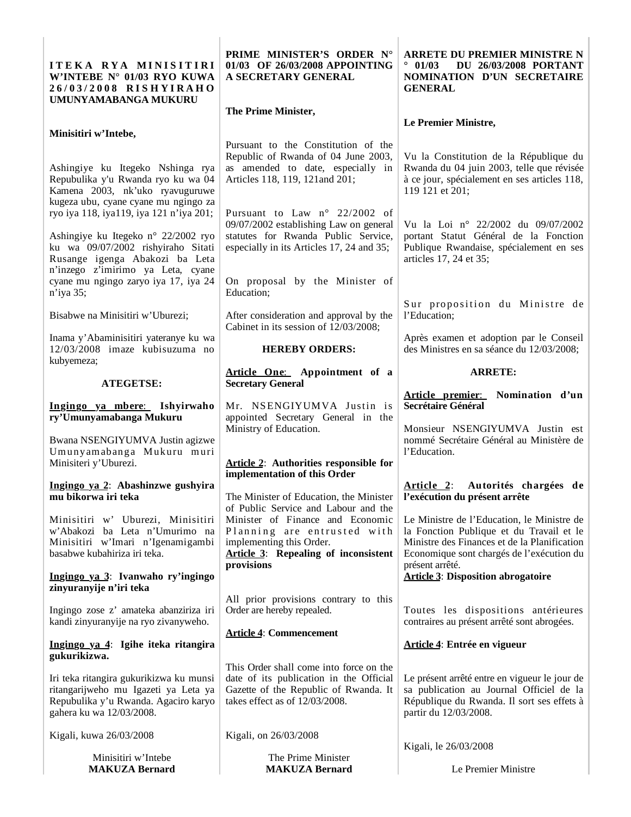| ITEKA RYA MINISITIRI<br>W'INTEBE N° 01/03 RYO KUWA<br>26/03/2008 RISHYIRAHO<br>UMUNYAMABANGA MUKURU                                                                                         | PRIME MINISTER'S ORDER N°<br>01/03 OF 26/03/2008 APPOINTING<br>A SECRETARY GENERAL                                                                            | <b>ARRETE DU PREMIER MINISTRE N</b><br><b>DU 26/03/2008 PORTANT</b><br>$^{\circ}$ 01/03<br>NOMINATION D'UN SECRETAIRE<br><b>GENERAL</b>                                                                |
|---------------------------------------------------------------------------------------------------------------------------------------------------------------------------------------------|---------------------------------------------------------------------------------------------------------------------------------------------------------------|--------------------------------------------------------------------------------------------------------------------------------------------------------------------------------------------------------|
|                                                                                                                                                                                             | The Prime Minister,                                                                                                                                           | Le Premier Ministre,                                                                                                                                                                                   |
| Minisitiri w'Intebe,<br>Ashingiye ku Itegeko Nshinga rya<br>Repubulika y'u Rwanda ryo ku wa 04<br>Kamena 2003, nk'uko ryavuguruwe<br>kugeza ubu, cyane cyane mu ngingo za                   | Pursuant to the Constitution of the<br>Republic of Rwanda of 04 June 2003,<br>as amended to date, especially in<br>Articles 118, 119, 121 and 201;            | Vu la Constitution de la République du<br>Rwanda du 04 juin 2003, telle que révisée<br>à ce jour, spécialement en ses articles 118,<br>119 121 et 201;                                                 |
| ryo iya 118, iya119, iya 121 n'iya 201;<br>Ashingiye ku Itegeko n° 22/2002 ryo<br>ku wa 09/07/2002 rishyiraho Sitati<br>Rusange igenga Abakozi ba Leta<br>n'inzego z'imirimo ya Leta, cyane | Pursuant to Law n° 22/2002 of<br>09/07/2002 establishing Law on general<br>statutes for Rwanda Public Service,<br>especially in its Articles 17, 24 and 35;   | Vu la Loi nº 22/2002 du 09/07/2002<br>portant Statut Général de la Fonction<br>Publique Rwandaise, spécialement en ses<br>articles 17, 24 et 35;                                                       |
| cyane mu ngingo zaryo iya 17, iya 24<br>n'iya 35;                                                                                                                                           | On proposal by the Minister of<br>Education;                                                                                                                  | Sur proposition du Ministre de                                                                                                                                                                         |
| Bisabwe na Minisitiri w'Uburezi;                                                                                                                                                            | After consideration and approval by the<br>Cabinet in its session of 12/03/2008;                                                                              | l'Education;                                                                                                                                                                                           |
| Inama y'Abaminisitiri yateranye ku wa<br>12/03/2008 imaze kubisuzuma no<br>kubyemeza;                                                                                                       | <b>HEREBY ORDERS:</b>                                                                                                                                         | Après examen et adoption par le Conseil<br>des Ministres en sa séance du 12/03/2008;                                                                                                                   |
| <b>ATEGETSE:</b>                                                                                                                                                                            | Article One: Appointment of a<br><b>Secretary General</b>                                                                                                     | <b>ARRETE:</b>                                                                                                                                                                                         |
| Ingingo ya mbere: Ishyirwaho<br>ry'Umunyamabanga Mukuru<br>Bwana NSENGIYUMVA Justin agizwe                                                                                                  | Mr. NSENGIYUMVA Justin is<br>appointed Secretary General in the<br>Ministry of Education.                                                                     | Article premier: Nomination d'un<br>Secrétaire Général<br>Monsieur NSENGIYUMVA Justin est<br>nommé Secrétaire Général au Ministère de                                                                  |
| Umunyamabanga Mukuru muri<br>Minisiteri y'Uburezi.                                                                                                                                          | <b>Article 2:</b> Authorities responsible for<br>implementation of this Order                                                                                 | l'Education.                                                                                                                                                                                           |
| Ingingo ya 2: Abashinzwe gushyira<br>mu bikorwa iri teka                                                                                                                                    | The Minister of Education, the Minister<br>of Public Service and Labour and the                                                                               | <b>Article 2:</b><br>Autorités chargées de<br>l'exécution du présent arrête                                                                                                                            |
| Minisitiri w' Uburezi, Minisitiri<br>w'Abakozi ba Leta n'Umurimo na<br>Minisitiri w'Imari n'Igenamigambi<br>basabwe kubahiriza iri teka.                                                    | Minister of Finance and Economic<br>Planning are entrusted with<br>implementing this Order.<br><b>Article 3:</b> Repealing of inconsistent<br>provisions      | Le Ministre de l'Education, le Ministre de<br>la Fonction Publique et du Travail et le<br>Ministre des Finances et de la Planification<br>Economique sont chargés de l'exécution du<br>présent arrêté. |
| Ingingo ya 3: Ivanwaho ry'ingingo<br>zinyuranyije n'iri teka                                                                                                                                |                                                                                                                                                               | <b>Article 3: Disposition abrogatoire</b>                                                                                                                                                              |
| Ingingo zose z' amateka abanziriza iri<br>kandi zinyuranyije na ryo zivanyweho.                                                                                                             | All prior provisions contrary to this<br>Order are hereby repealed.                                                                                           | Toutes les dispositions antérieures<br>contraires au présent arrêté sont abrogées.                                                                                                                     |
| Ingingo ya 4: Igihe iteka ritangira<br>gukurikizwa.                                                                                                                                         | <b>Article 4: Commencement</b>                                                                                                                                | Article 4: Entrée en vigueur                                                                                                                                                                           |
| Iri teka ritangira gukurikizwa ku munsi<br>ritangarijweho mu Igazeti ya Leta ya<br>Repubulika y'u Rwanda. Agaciro karyo<br>gahera ku wa 12/03/2008.                                         | This Order shall come into force on the<br>date of its publication in the Official<br>Gazette of the Republic of Rwanda. It<br>takes effect as of 12/03/2008. | Le présent arrêté entre en vigueur le jour de<br>sa publication au Journal Officiel de la<br>République du Rwanda. Il sort ses effets à<br>partir du 12/03/2008.                                       |
| Kigali, kuwa 26/03/2008                                                                                                                                                                     | Kigali, on 26/03/2008                                                                                                                                         | Kigali, le 26/03/2008                                                                                                                                                                                  |
| Minisitiri w'Intebe<br><b>MAKUZA Bernard</b>                                                                                                                                                | The Prime Minister<br><b>MAKUZA Bernard</b>                                                                                                                   | Le Premier Ministre                                                                                                                                                                                    |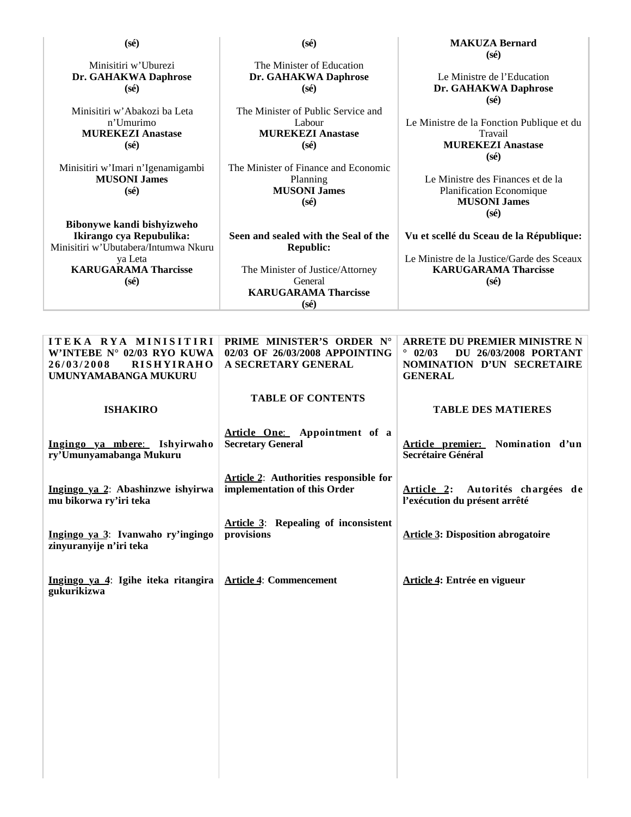| $(s\acute{e})$                                                                                                | $(s\acute{e})$                                                                               | <b>MAKUZA Bernard</b>                                                                                                               |
|---------------------------------------------------------------------------------------------------------------|----------------------------------------------------------------------------------------------|-------------------------------------------------------------------------------------------------------------------------------------|
| Minisitiri w'Uburezi<br>Dr. GAHAKWA Daphrose<br>$(s\acute{e})$                                                | The Minister of Education<br>Dr. GAHAKWA Daphrose<br>$(s\acute{e})$                          | $(s\acute{e})$<br>Le Ministre de l'Education<br>Dr. GAHAKWA Daphrose<br>$(s\acute{e})$                                              |
| Minisitiri w'Abakozi ba Leta<br>n'Umurimo<br><b>MUREKEZI Anastase</b><br>$(s\acute{e})$                       | The Minister of Public Service and<br>Labour<br><b>MUREKEZI Anastase</b><br>$(s\acute{e})$   | Le Ministre de la Fonction Publique et du<br>Travail<br><b>MUREKEZI Anastase</b><br>$(s\acute{e})$                                  |
| Minisitiri w'Imari n'Igenamigambi<br><b>MUSONI James</b><br>$(s\acute{e})$                                    | The Minister of Finance and Economic<br>Planning<br><b>MUSONI James</b><br>$(s\acute{e})$    | Le Ministre des Finances et de la<br>Planification Economique<br><b>MUSONI James</b><br>$(s\acute{e})$                              |
| Bibonywe kandi bishyizweho<br>Ikirango cya Repubulika:<br>Minisitiri w'Ubutabera/Intumwa Nkuru                | Seen and sealed with the Seal of the<br><b>Republic:</b>                                     | Vu et scellé du Sceau de la République:                                                                                             |
| ya Leta<br><b>KARUGARAMA Tharcisse</b><br>$(s\acute{e})$                                                      | The Minister of Justice/Attorney<br>General<br><b>KARUGARAMA Tharcisse</b><br>$(s\acute{e})$ | Le Ministre de la Justice/Garde des Sceaux<br><b>KARUGARAMA Tharcisse</b><br>$(s\acute{e})$                                         |
|                                                                                                               |                                                                                              |                                                                                                                                     |
| ITEKA RYA MINISITIRI<br>W'INTEBE N° 02/03 RYO KUWA<br>26/03/2008<br><b>RISHYIRAHO</b><br>UMUNYAMABANGA MUKURU | PRIME MINISTER'S ORDER N°<br>02/03 OF 26/03/2008 APPOINTING<br>A SECRETARY GENERAL           | <b>ARRETE DU PREMIER MINISTRE N</b><br>02/03<br><b>DU 26/03/2008 PORTANT</b><br><b>NOMINATION D'UN SECRETAIRE</b><br><b>GENERAL</b> |
| <b>ISHAKIRO</b>                                                                                               | <b>TABLE OF CONTENTS</b>                                                                     | <b>TABLE DES MATIERES</b>                                                                                                           |
| Ingingo ya mbere: Ishyirwaho<br>ry'Umunyamabanga Mukuru                                                       | Article One: Appointment of a<br><b>Secretary General</b>                                    | Article premier:<br>Nomination d'un<br>Secrétaire Général                                                                           |
| Ingingo ya 2: Abashinzwe ishyirwa<br>mu bikorwa ry'iri teka                                                   | <b>Article 2:</b> Authorities responsible for<br>implementation of this Order                | Article 2: Autorités chargées de<br>l'exécution du présent arrêté                                                                   |
| Ingingo ya 3: Ivanwaho ry'ingingo<br>zinyuranyije n'iri teka                                                  | <b>Article 3:</b> Repealing of inconsistent<br>provisions                                    | <b>Article 3: Disposition abrogatoire</b>                                                                                           |
| Ingingo ya 4: Igihe iteka ritangira<br>gukurikizwa                                                            | <b>Article 4: Commencement</b>                                                               | Article 4: Entrée en vigueur                                                                                                        |
|                                                                                                               |                                                                                              |                                                                                                                                     |
|                                                                                                               |                                                                                              |                                                                                                                                     |
|                                                                                                               |                                                                                              |                                                                                                                                     |
|                                                                                                               |                                                                                              |                                                                                                                                     |
|                                                                                                               |                                                                                              |                                                                                                                                     |
|                                                                                                               |                                                                                              |                                                                                                                                     |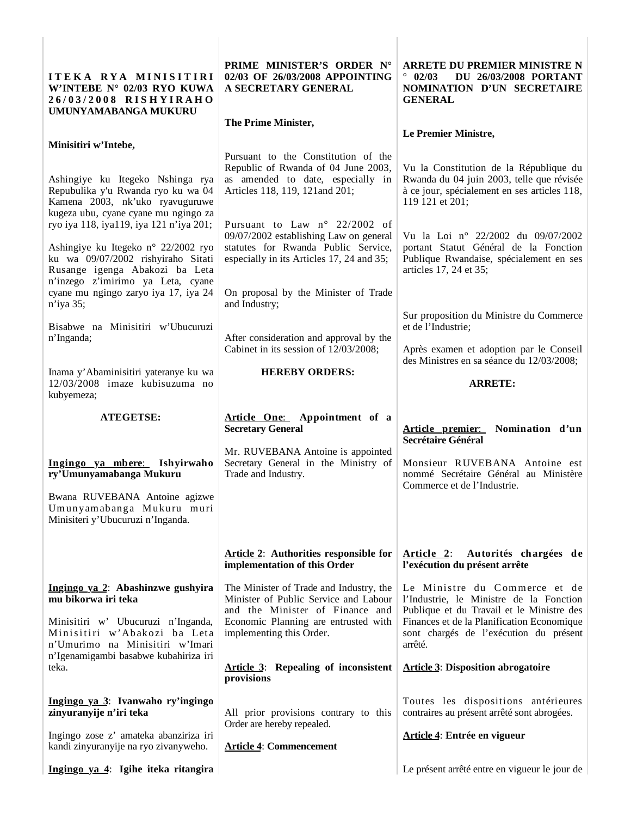| ITEKA RYA MINISITIRI<br>W'INTEBE N° 02/03 RYO KUWA<br>26/03/2008 RISHYIRAHO<br>UMUNYAMABANGA MUKURU                                                                                                                                                                                                                                                                                      | PRIME MINISTER'S ORDER N°<br>02/03 OF 26/03/2008 APPOINTING<br>A SECRETARY GENERAL                                                                                                                                                                                                                                                                        | <b>ARRETE DU PREMIER MINISTRE N</b><br>$^{\circ}$ 02/03<br><b>DU 26/03/2008 PORTANT</b><br><b>NOMINATION D'UN SECRETAIRE</b><br><b>GENERAL</b>                                                                                                                                                             |
|------------------------------------------------------------------------------------------------------------------------------------------------------------------------------------------------------------------------------------------------------------------------------------------------------------------------------------------------------------------------------------------|-----------------------------------------------------------------------------------------------------------------------------------------------------------------------------------------------------------------------------------------------------------------------------------------------------------------------------------------------------------|------------------------------------------------------------------------------------------------------------------------------------------------------------------------------------------------------------------------------------------------------------------------------------------------------------|
| Minisitiri w'Intebe,                                                                                                                                                                                                                                                                                                                                                                     | The Prime Minister,                                                                                                                                                                                                                                                                                                                                       | Le Premier Ministre,                                                                                                                                                                                                                                                                                       |
| Ashingiye ku Itegeko Nshinga rya<br>Repubulika y'u Rwanda ryo ku wa 04<br>Kamena 2003, nk'uko ryavuguruwe<br>kugeza ubu, cyane cyane mu ngingo za<br>ryo iya 118, iya119, iya 121 n'iya 201;<br>Ashingiye ku Itegeko n° 22/2002 ryo<br>ku wa 09/07/2002 rishyiraho Sitati<br>Rusange igenga Abakozi ba Leta<br>n'inzego z'imirimo ya Leta, cyane<br>cyane mu ngingo zaryo iya 17, iya 24 | Pursuant to the Constitution of the<br>Republic of Rwanda of 04 June 2003,<br>as amended to date, especially in<br>Articles 118, 119, 121 and 201;<br>Pursuant to Law n° 22/2002 of<br>09/07/2002 establishing Law on general<br>statutes for Rwanda Public Service,<br>especially in its Articles 17, 24 and 35;<br>On proposal by the Minister of Trade | Vu la Constitution de la République du<br>Rwanda du 04 juin 2003, telle que révisée<br>à ce jour, spécialement en ses articles 118,<br>119 121 et 201;<br>Vu la Loi nº 22/2002 du 09/07/2002<br>portant Statut Général de la Fonction<br>Publique Rwandaise, spécialement en ses<br>articles 17, 24 et 35; |
| n'iya 35;<br>Bisabwe na Minisitiri w'Ubucuruzi<br>n'Inganda;                                                                                                                                                                                                                                                                                                                             | and Industry;<br>After consideration and approval by the<br>Cabinet in its session of 12/03/2008;                                                                                                                                                                                                                                                         | Sur proposition du Ministre du Commerce<br>et de l'Industrie;<br>Après examen et adoption par le Conseil                                                                                                                                                                                                   |
| Inama y'Abaminisitiri yateranye ku wa<br>12/03/2008 imaze kubisuzuma no<br>kubyemeza;                                                                                                                                                                                                                                                                                                    | <b>HEREBY ORDERS:</b>                                                                                                                                                                                                                                                                                                                                     | des Ministres en sa séance du 12/03/2008;<br><b>ARRETE:</b>                                                                                                                                                                                                                                                |
|                                                                                                                                                                                                                                                                                                                                                                                          |                                                                                                                                                                                                                                                                                                                                                           |                                                                                                                                                                                                                                                                                                            |
| <b>ATEGETSE:</b>                                                                                                                                                                                                                                                                                                                                                                         | Article One: Appointment of a<br><b>Secretary General</b>                                                                                                                                                                                                                                                                                                 | Article premier: Nomination d'un                                                                                                                                                                                                                                                                           |
| Ingingo ya mbere: Ishyirwaho<br>ry'Umunyamabanga Mukuru<br>Bwana RUVEBANA Antoine agizwe<br>Umunyamabanga Mukuru muri<br>Minisiteri y'Ubucuruzi n'Inganda.                                                                                                                                                                                                                               | Mr. RUVEBANA Antoine is appointed<br>Secretary General in the Ministry of<br>Trade and Industry.                                                                                                                                                                                                                                                          | <b>Secrétaire Général</b><br>Monsieur RUVEBANA Antoine est<br>nommé Secrétaire Général au Ministère<br>Commerce et de l'Industrie.                                                                                                                                                                         |
|                                                                                                                                                                                                                                                                                                                                                                                          | <b>Article 2:</b> Authorities responsible for<br>implementation of this Order                                                                                                                                                                                                                                                                             | <u>Article 2:</u><br>Autorités chargées de<br>l'exécution du présent arrête                                                                                                                                                                                                                                |
| Ingingo ya 2: Abashinzwe gushyira<br>mu bikorwa iri teka<br>Minisitiri w' Ubucuruzi n'Inganda,<br>Minisitiri w'Abakozi ba Leta<br>n'Umurimo na Minisitiri w'Imari<br>n'Igenamigambi basabwe kubahiriza iri<br>teka.                                                                                                                                                                      | The Minister of Trade and Industry, the<br>Minister of Public Service and Labour<br>and the Minister of Finance and<br>Economic Planning are entrusted with<br>implementing this Order.<br><b>Article 3:</b> Repealing of inconsistent                                                                                                                    | Le Ministre du Commerce et de<br>l'Industrie, le Ministre de la Fonction<br>Publique et du Travail et le Ministre des<br>Finances et de la Planification Economique<br>sont chargés de l'exécution du présent<br>arrêté.<br><b>Article 3: Disposition abrogatoire</b>                                      |
| Ingingo ya 3: Ivanwaho ry'ingingo<br>zinyuranyije n'iri teka<br>Ingingo zose z' amateka abanziriza iri<br>kandi zinyuranyije na ryo zivanyweho.                                                                                                                                                                                                                                          | provisions<br>All prior provisions contrary to this<br>Order are hereby repealed.<br><b>Article 4: Commencement</b>                                                                                                                                                                                                                                       | Toutes les dispositions antérieures<br>contraires au présent arrêté sont abrogées.<br>Article 4: Entrée en vigueur                                                                                                                                                                                         |

 $\begin{array}{c} \hline \end{array}$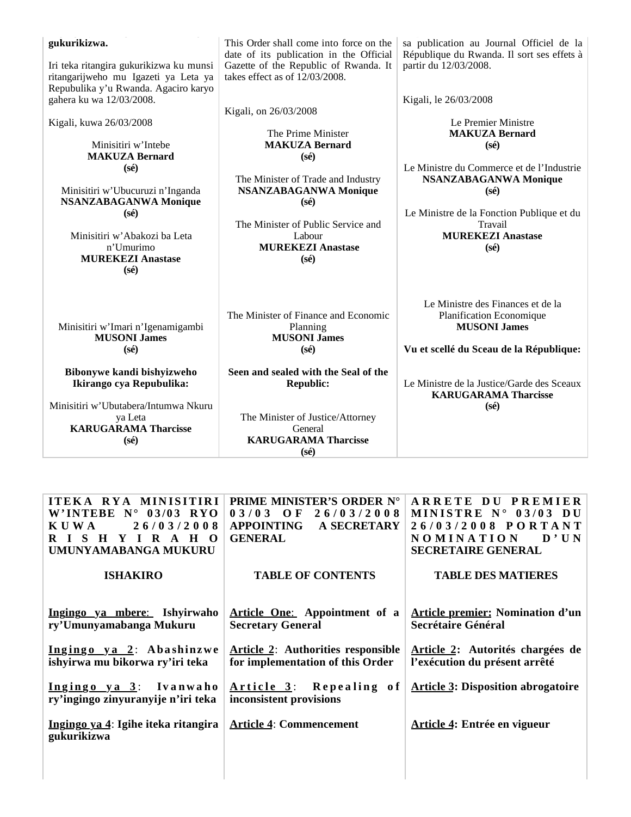| gukurikizwa.<br>Iri teka ritangira gukurikizwa ku munsi<br>ritangarijweho mu Igazeti ya Leta ya  | This Order shall come into force on the<br>date of its publication in the Official<br>Gazette of the Republic of Rwanda. It<br>takes effect as of 12/03/2008. | sa publication au Journal Officiel de la<br>République du Rwanda. Il sort ses effets à<br>partir du 12/03/2008.                 |
|--------------------------------------------------------------------------------------------------|---------------------------------------------------------------------------------------------------------------------------------------------------------------|---------------------------------------------------------------------------------------------------------------------------------|
| Repubulika y'u Rwanda. Agaciro karyo<br>gahera ku wa 12/03/2008.                                 | Kigali, on 26/03/2008                                                                                                                                         | Kigali, le 26/03/2008                                                                                                           |
| Kigali, kuwa 26/03/2008<br>Minisitiri w'Intebe                                                   | The Prime Minister<br><b>MAKUZA Bernard</b>                                                                                                                   | Le Premier Ministre<br><b>MAKUZA Bernard</b><br>$(s\acute{e})$                                                                  |
| <b>MAKUZA Bernard</b>                                                                            | $(s\acute{e})$                                                                                                                                                | Le Ministre du Commerce et de l'Industrie                                                                                       |
| $(s\acute{e})$<br>Minisitiri w'Ubucuruzi n'Inganda<br><b>NSANZABAGANWA Monique</b>               | The Minister of Trade and Industry<br><b>NSANZABAGANWA Monique</b><br>$(s\acute{e})$                                                                          | <b>NSANZABAGANWA Monique</b><br>$(s\acute{e})$                                                                                  |
| $(s\acute{e})$<br>Minisitiri w'Abakozi ba Leta<br>n'Umurimo<br><b>MUREKEZI Anastase</b>          | The Minister of Public Service and<br>Labour<br><b>MUREKEZI Anastase</b><br>$(s\acute{e})$                                                                    | Le Ministre de la Fonction Publique et du<br>Travail<br><b>MUREKEZI Anastase</b><br>$(s\acute{e})$                              |
| $(s\acute{e})$<br>Minisitiri w'Imari n'Igenamigambi<br><b>MUSONI James</b><br>$(s\acute{e})$     | The Minister of Finance and Economic<br>Planning<br><b>MUSONI James</b><br>$(s\acute{e})$                                                                     | Le Ministre des Finances et de la<br>Planification Economique<br><b>MUSONI James</b><br>Vu et scellé du Sceau de la République: |
| Bibonywe kandi bishyizweho<br>Ikirango cya Repubulika:                                           | Seen and sealed with the Seal of the<br><b>Republic:</b>                                                                                                      | Le Ministre de la Justice/Garde des Sceaux<br><b>KARUGARAMA Tharcisse</b>                                                       |
| Minisitiri w'Ubutabera/Intumwa Nkuru<br>ya Leta<br><b>KARUGARAMA Tharcisse</b><br>$(s\acute{e})$ | The Minister of Justice/Attorney<br>General<br><b>KARUGARAMA Tharcisse</b><br>$(s\acute{e})$                                                                  | $(s\acute{e})$                                                                                                                  |

| ITEKA RYA MINISITIRI                                         | <b>PRIME MINISTER'S ORDER N°</b>                   | ARRETE DU PREMIER                         |
|--------------------------------------------------------------|----------------------------------------------------|-------------------------------------------|
| W'INTEBE $N^{\circ}$ 03/03 RYO                               | $03/03$ OF                                         | MINISTRE $N^{\circ}$ 03/03 DU             |
| 26/03/2008                                                   | 26/03/2008                                         | 26/03/2008 PORTANT                        |
| KUWA                                                         | <b>APPOINTING</b>                                  | <b>NOMINATION</b>                         |
| RISHYIRAHO                                                   | A SECRETARY                                        | D'UN                                      |
| UMUNYAMABANGA MUKURU                                         | <b>GENERAL</b>                                     | <b>SECRETAIRE GENERAL</b>                 |
| <b>ISHAKIRO</b>                                              | <b>TABLE OF CONTENTS</b>                           | <b>TABLE DES MATIERES</b>                 |
| Ingingo ya mbere: Ishyirwaho                                 | Article One: Appointment of a                      | <b>Article premier: Nomination d'un</b>   |
| ry'Umunyamabanga Mukuru                                      | <b>Secretary General</b>                           | Secrétaire Général                        |
| Ingingo ya 2: Abashinzwe                                     | <b>Article 2:</b> Authorities responsible          | Article 2: Autorités chargées de          |
| ishyirwa mu bikorwa ry'iri teka                              | for implementation of this Order                   | l'exécution du présent arrêté             |
| Ingingo ya 3: Ivanwaho<br>ry'ingingo zinyuranyije n'iri teka | Article 3: Repealing of<br>inconsistent provisions | <b>Article 3: Disposition abrogatoire</b> |
| Ingingo ya 4: Igihe iteka ritangira<br>gukurikizwa           | <b>Article 4: Commencement</b>                     | Article 4: Entrée en vigueur              |
|                                                              |                                                    |                                           |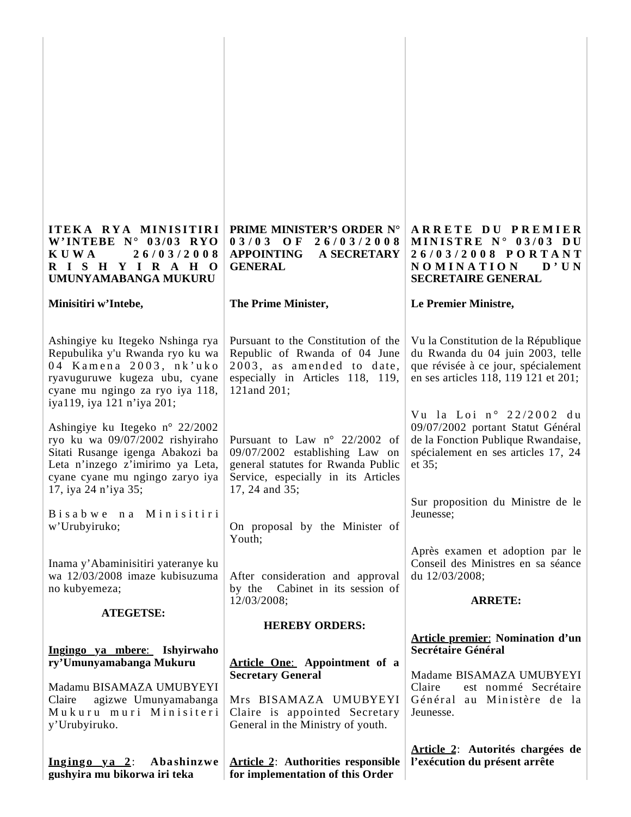| ITEKA RYA MINISITIRI<br>W'INTEBE $N^{\circ}$ 03/03 RYO<br>26/03/2008<br><b>KUWA</b><br>RISHYIRAHO<br>UMUNYAMABANGA MUKURU                                                                             | PRIME MINISTER'S ORDER N°<br>$03/03$ OF<br>26/03/2008<br><b>APPOINTING</b><br><b>A SECRETARY</b><br><b>GENERAL</b>                                                      | ARRETE DU PREMIER<br>MINISTRE N° 03/03 DU<br>26/03/2008 PORTANT<br><b>NOMINATION</b><br>D'UN<br><b>SECRETAIRE GENERAL</b>                              |
|-------------------------------------------------------------------------------------------------------------------------------------------------------------------------------------------------------|-------------------------------------------------------------------------------------------------------------------------------------------------------------------------|--------------------------------------------------------------------------------------------------------------------------------------------------------|
| Minisitiri w'Intebe,                                                                                                                                                                                  | The Prime Minister,                                                                                                                                                     | Le Premier Ministre,                                                                                                                                   |
| Ashingiye ku Itegeko Nshinga rya<br>Repubulika y'u Rwanda ryo ku wa<br>04 Kamena 2003, nk'uko<br>ryavuguruwe kugeza ubu, cyane<br>cyane mu ngingo za ryo iya 118,<br>iya119, iya 121 n'iya 201;       | Pursuant to the Constitution of the<br>Republic of Rwanda of 04 June<br>2003, as amended to date,<br>especially in Articles 118, 119,<br>121 and 201;                   | Vu la Constitution de la République<br>du Rwanda du 04 juin 2003, telle<br>que révisée à ce jour, spécialement<br>en ses articles 118, 119 121 et 201; |
| Ashingiye ku Itegeko n° 22/2002<br>ryo ku wa 09/07/2002 rishyiraho<br>Sitati Rusange igenga Abakozi ba<br>Leta n'inzego z'imirimo ya Leta,<br>cyane cyane mu ngingo zaryo iya<br>17, iya 24 n'iya 35; | Pursuant to Law $n^{\circ}$ 22/2002 of<br>09/07/2002 establishing Law on<br>general statutes for Rwanda Public<br>Service, especially in its Articles<br>17, 24 and 35; | Vu la Loi nº 22/2002 du<br>09/07/2002 portant Statut Général<br>de la Fonction Publique Rwandaise,<br>spécialement en ses articles 17, 24<br>et 35;    |
| Bisabwe na Minisitiri<br>w'Urubyiruko;                                                                                                                                                                | On proposal by the Minister of<br>Youth;                                                                                                                                | Sur proposition du Ministre de le<br>Jeunesse;                                                                                                         |
| Inama y'Abaminisitiri yateranye ku<br>wa 12/03/2008 imaze kubisuzuma<br>no kubyemeza;                                                                                                                 | After consideration and approval<br>by the Cabinet in its session of                                                                                                    | Après examen et adoption par le<br>Conseil des Ministres en sa séance<br>du 12/03/2008;                                                                |
| <b>ATEGETSE:</b>                                                                                                                                                                                      | 12/03/2008;                                                                                                                                                             | <b>ARRETE:</b>                                                                                                                                         |
|                                                                                                                                                                                                       | <b>HEREBY ORDERS:</b>                                                                                                                                                   | <b>Article premier: Nomination d'un</b>                                                                                                                |
| Ingingo ya mbere: Ishyirwaho<br>ry'Umunyamabanga Mukuru                                                                                                                                               | <b>Article One:</b> Appointment of a                                                                                                                                    | Secrétaire Général                                                                                                                                     |
| Madamu BISAMAZA UMUBYEYI<br>agizwe Umunyamabanga<br>Claire<br>Mukuru muri Minisiteri<br>y'Urubyiruko.                                                                                                 | <b>Secretary General</b><br>Mrs BISAMAZA UMUBYEYI<br>Claire is appointed Secretary<br>General in the Ministry of youth.                                                 | Madame BISAMAZA UMUBYEYI<br>Claire<br>est nommé Secrétaire<br>Général au Ministère de la<br>Jeunesse.                                                  |
| Ingingo ya 2: Abashinzwe<br>gushyira mu bikorwa iri teka                                                                                                                                              | <b>Article 2:</b> Authorities responsible<br>for implementation of this Order                                                                                           | Article 2: Autorités chargées de<br>l'exécution du présent arrête                                                                                      |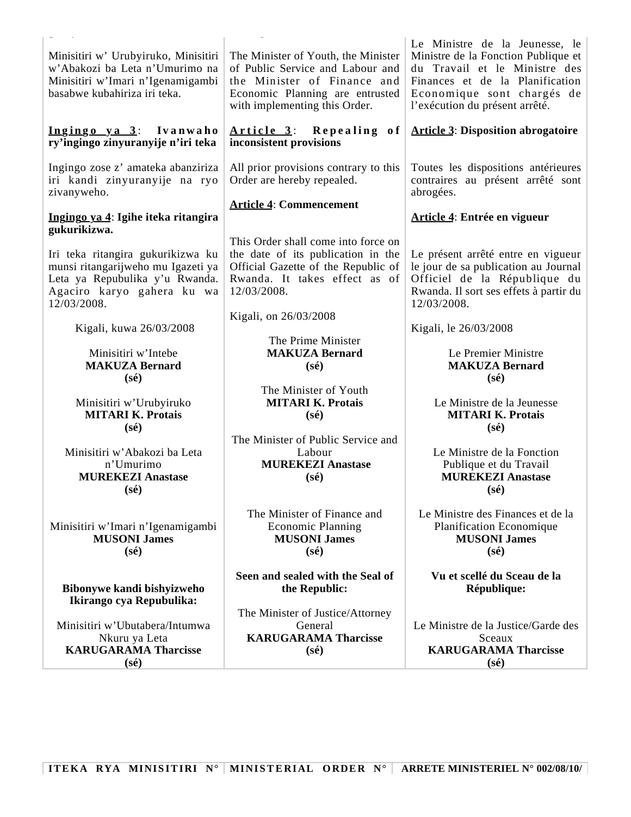| The Minister of Youth, the Minister<br>of Public Service and Labour and<br>the Minister of Finance and<br>Economic Planning are entrusted<br>with implementing this Order.<br>Repealing of<br><u>Article 3:</u><br>inconsistent provisions<br>All prior provisions contrary to this<br>Order are hereby repealed.<br><b>Article 4: Commencement</b><br>This Order shall come into force on<br>the date of its publication in the<br>Official Gazette of the Republic of<br>Rwanda. It takes effect as of<br>Kigali, on 26/03/2008<br>The Prime Minister<br><b>MAKUZA Bernard</b><br>$(s\acute{e})$ | Le Ministre de la Jeunesse, le<br>Ministre de la Fonction Publique et<br>du Travail et le Ministre des<br>Finances et de la Planification<br>Economique sont chargés de<br>l'exécution du présent arrêté.<br><b>Article 3: Disposition abrogatoire</b><br>Toutes les dispositions antérieures<br>contraires au présent arrêté sont<br>abrogées.<br>Article 4: Entrée en vigueur<br>Le présent arrêté entre en vigueur<br>le jour de sa publication au Journal<br>Officiel de la République du<br>Rwanda. Il sort ses effets à partir du<br>12/03/2008.<br>Kigali, le 26/03/2008<br>Le Premier Ministre<br><b>MAKUZA Bernard</b><br>$(s\acute{e})$ |
|----------------------------------------------------------------------------------------------------------------------------------------------------------------------------------------------------------------------------------------------------------------------------------------------------------------------------------------------------------------------------------------------------------------------------------------------------------------------------------------------------------------------------------------------------------------------------------------------------|---------------------------------------------------------------------------------------------------------------------------------------------------------------------------------------------------------------------------------------------------------------------------------------------------------------------------------------------------------------------------------------------------------------------------------------------------------------------------------------------------------------------------------------------------------------------------------------------------------------------------------------------------|
|                                                                                                                                                                                                                                                                                                                                                                                                                                                                                                                                                                                                    |                                                                                                                                                                                                                                                                                                                                                                                                                                                                                                                                                                                                                                                   |
|                                                                                                                                                                                                                                                                                                                                                                                                                                                                                                                                                                                                    |                                                                                                                                                                                                                                                                                                                                                                                                                                                                                                                                                                                                                                                   |
|                                                                                                                                                                                                                                                                                                                                                                                                                                                                                                                                                                                                    |                                                                                                                                                                                                                                                                                                                                                                                                                                                                                                                                                                                                                                                   |
|                                                                                                                                                                                                                                                                                                                                                                                                                                                                                                                                                                                                    |                                                                                                                                                                                                                                                                                                                                                                                                                                                                                                                                                                                                                                                   |
|                                                                                                                                                                                                                                                                                                                                                                                                                                                                                                                                                                                                    |                                                                                                                                                                                                                                                                                                                                                                                                                                                                                                                                                                                                                                                   |
|                                                                                                                                                                                                                                                                                                                                                                                                                                                                                                                                                                                                    |                                                                                                                                                                                                                                                                                                                                                                                                                                                                                                                                                                                                                                                   |
|                                                                                                                                                                                                                                                                                                                                                                                                                                                                                                                                                                                                    |                                                                                                                                                                                                                                                                                                                                                                                                                                                                                                                                                                                                                                                   |
|                                                                                                                                                                                                                                                                                                                                                                                                                                                                                                                                                                                                    |                                                                                                                                                                                                                                                                                                                                                                                                                                                                                                                                                                                                                                                   |
| The Minister of Youth<br><b>MITARI K. Protais</b><br>$(s\acute{e})$                                                                                                                                                                                                                                                                                                                                                                                                                                                                                                                                | Le Ministre de la Jeunesse<br><b>MITARI K. Protais</b><br>$(s\acute{e})$                                                                                                                                                                                                                                                                                                                                                                                                                                                                                                                                                                          |
| $(s\acute{e})$                                                                                                                                                                                                                                                                                                                                                                                                                                                                                                                                                                                     | Le Ministre de la Fonction<br>Publique et du Travail<br><b>MUREKEZI Anastase</b><br>$(s\acute{e})$                                                                                                                                                                                                                                                                                                                                                                                                                                                                                                                                                |
| $(s\acute{e})$                                                                                                                                                                                                                                                                                                                                                                                                                                                                                                                                                                                     | Le Ministre des Finances et de la<br>Planification Economique<br><b>MUSONI James</b><br>$(s\acute{e})$                                                                                                                                                                                                                                                                                                                                                                                                                                                                                                                                            |
|                                                                                                                                                                                                                                                                                                                                                                                                                                                                                                                                                                                                    | Vu et scellé du Sceau de la<br>République:                                                                                                                                                                                                                                                                                                                                                                                                                                                                                                                                                                                                        |
| $(s\acute{e})$                                                                                                                                                                                                                                                                                                                                                                                                                                                                                                                                                                                     | Le Ministre de la Justice/Garde des<br>Sceaux<br><b>KARUGARAMA Tharcisse</b><br>$(s\acute{e})$                                                                                                                                                                                                                                                                                                                                                                                                                                                                                                                                                    |
|                                                                                                                                                                                                                                                                                                                                                                                                                                                                                                                                                                                                    | The Minister of Public Service and<br>Labour<br><b>MUREKEZI Anastase</b><br>The Minister of Finance and<br><b>Economic Planning</b><br><b>MUSONI James</b><br>Seen and sealed with the Seal of<br>the Republic:<br>The Minister of Justice/Attorney<br>General<br><b>KARUGARAMA Tharcisse</b>                                                                                                                                                                                                                                                                                                                                                     |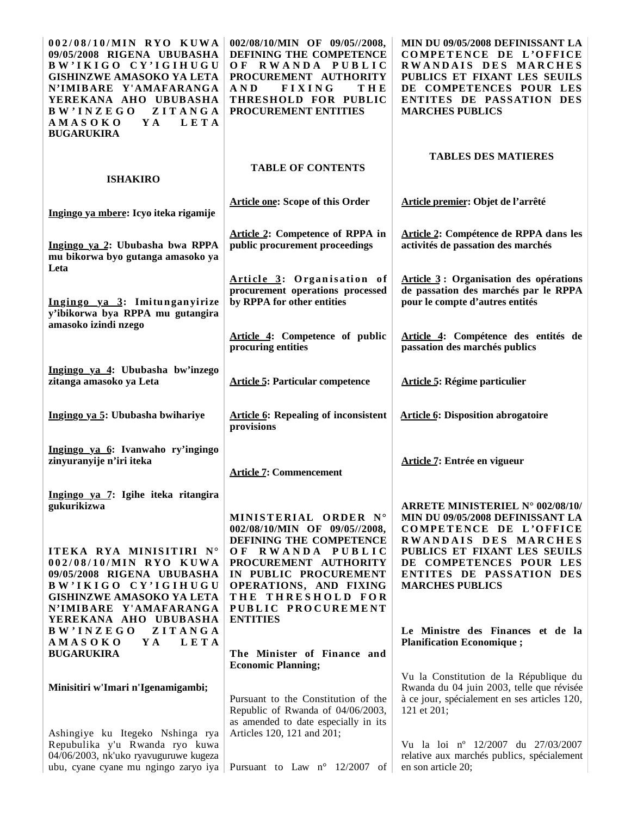| 002/08/10/MIN RYO KUWA<br>09/05/2008 RIGENA UBUBASHA<br>BW'IKIGO CY'IGIHUGU<br><b>GISHINZWE AMASOKO YA LETA</b><br>N'IMIBARE Y'AMAFARANGA<br>YEREKANA AHO UBUBASHA<br>ZITANGA<br><b>BW'INZEGO</b><br>Y A<br>LETA<br><b>AMASOKO</b><br><b>BUGARUKIRA</b> | 002/08/10/MIN OF 09/05//2008,<br>DEFINING THE COMPETENCE<br>OF RWANDA PUBLIC<br>PROCUREMENT AUTHORITY<br>A N D<br><b>FIXING</b><br>THE<br>THRESHOLD FOR PUBLIC<br>PROCUREMENT ENTITIES                                                         | MIN DU 09/05/2008 DEFINISSANT LA<br>COMPETENCE DE L'OFFICE<br>RWANDAIS DES MARCHES<br>PUBLICS ET FIXANT LES SEUILS<br>DE COMPETENCES POUR LES<br>ENTITES DE PASSATION DES<br><b>MARCHES PUBLICS</b>                                            |
|---------------------------------------------------------------------------------------------------------------------------------------------------------------------------------------------------------------------------------------------------------|------------------------------------------------------------------------------------------------------------------------------------------------------------------------------------------------------------------------------------------------|------------------------------------------------------------------------------------------------------------------------------------------------------------------------------------------------------------------------------------------------|
| <b>ISHAKIRO</b>                                                                                                                                                                                                                                         | <b>TABLE OF CONTENTS</b>                                                                                                                                                                                                                       | <b>TABLES DES MATIERES</b>                                                                                                                                                                                                                     |
| Ingingo ya mbere: Icyo iteka rigamije                                                                                                                                                                                                                   | <b>Article one: Scope of this Order</b>                                                                                                                                                                                                        | Article premier: Objet de l'arrêté                                                                                                                                                                                                             |
| Ingingo ya 2: Ububasha bwa RPPA<br>mu bikorwa byo gutanga amasoko ya<br>Leta                                                                                                                                                                            | <b>Article 2: Competence of RPPA in</b><br>public procurement proceedings                                                                                                                                                                      | Article 2: Compétence de RPPA dans les<br>activités de passation des marchés                                                                                                                                                                   |
| Ingingo ya 3: Imitunganyirize<br>y'ibikorwa bya RPPA mu gutangira                                                                                                                                                                                       | Article 3: Organisation of<br>procurement operations processed<br>by RPPA for other entities                                                                                                                                                   | Article 3: Organisation des opérations<br>de passation des marchés par le RPPA<br>pour le compte d'autres entités                                                                                                                              |
| amasoko izindi nzego                                                                                                                                                                                                                                    | Article 4: Competence of public<br>procuring entities                                                                                                                                                                                          | Article 4: Compétence des entités de<br>passation des marchés publics                                                                                                                                                                          |
| Ingingo ya 4: Ububasha bw'inzego<br>zitanga amasoko ya Leta                                                                                                                                                                                             | <b>Article 5: Particular competence</b>                                                                                                                                                                                                        | <b>Article 5: Régime particulier</b>                                                                                                                                                                                                           |
| Ingingo ya 5: Ububasha bwihariye                                                                                                                                                                                                                        | <b>Article 6: Repealing of inconsistent</b><br>provisions                                                                                                                                                                                      | <b>Article 6: Disposition abrogatoire</b>                                                                                                                                                                                                      |
| Ingingo ya 6: Ivanwaho ry'ingingo<br>zinyuranyije n'iri iteka                                                                                                                                                                                           | <b>Article 7: Commencement</b>                                                                                                                                                                                                                 | Article 7: Entrée en vigueur                                                                                                                                                                                                                   |
| Ingingo ya 7: Igihe iteka ritangira<br>gukurikizwa<br>ITEKA RYA MINISITIRI N°<br>002/08/10/MIN RYO KUWA<br>09/05/2008 RIGENA UBUBASHA<br>BW'IKIGO CY'IGIHUGU<br><b>GISHINZWE AMASOKO YA LETA</b><br>N'IMIBARE Y'AMAFARANGA<br>YEREKANA AHO UBUBASHA     | MINISTERIAL ORDER N°<br>002/08/10/MIN OF 09/05//2008,<br>DEFINING THE COMPETENCE<br>OF RWANDA PUBLIC<br>PROCUREMENT AUTHORITY<br>IN PUBLIC PROCUREMENT<br>OPERATIONS, AND FIXING<br>THE THRESHOLD FOR<br>PUBLIC PROCUREMENT<br><b>ENTITIES</b> | <b>ARRETE MINISTERIEL N° 002/08/10/</b><br>MIN DU 09/05/2008 DEFINISSANT LA<br>COMPETENCE DE L'OFFICE<br>RWANDAIS DES MARCHES<br>PUBLICS ET FIXANT LES SEUILS<br>DE COMPETENCES POUR LES<br>ENTITES DE PASSATION DES<br><b>MARCHES PUBLICS</b> |
| ZITANGA<br>B W' IN Z E G O<br>Y A<br>LETA<br><b>AMASOKO</b><br><b>BUGARUKIRA</b>                                                                                                                                                                        | The Minister of Finance and                                                                                                                                                                                                                    | Le Ministre des Finances et de la<br><b>Planification Economique;</b>                                                                                                                                                                          |
| Minisitiri w'Imari n'Igenamigambi;<br>Ashingiye ku Itegeko Nshinga rya                                                                                                                                                                                  | <b>Economic Planning;</b><br>Pursuant to the Constitution of the<br>Republic of Rwanda of 04/06/2003,<br>as amended to date especially in its<br>Articles 120, 121 and 201;                                                                    | Vu la Constitution de la République du<br>Rwanda du 04 juin 2003, telle que révisée<br>à ce jour, spécialement en ses articles 120,<br>121 et 201;                                                                                             |
| Repubulika y'u Rwanda ryo kuwa<br>04/06/2003, nk'uko ryavuguruwe kugeza<br>ubu, cyane cyane mu ngingo zaryo iya                                                                                                                                         | Pursuant to Law $n^{\circ}$ 12/2007 of                                                                                                                                                                                                         | Vu la loi nº 12/2007 du 27/03/2007<br>relative aux marchés publics, spécialement<br>en son article 20;                                                                                                                                         |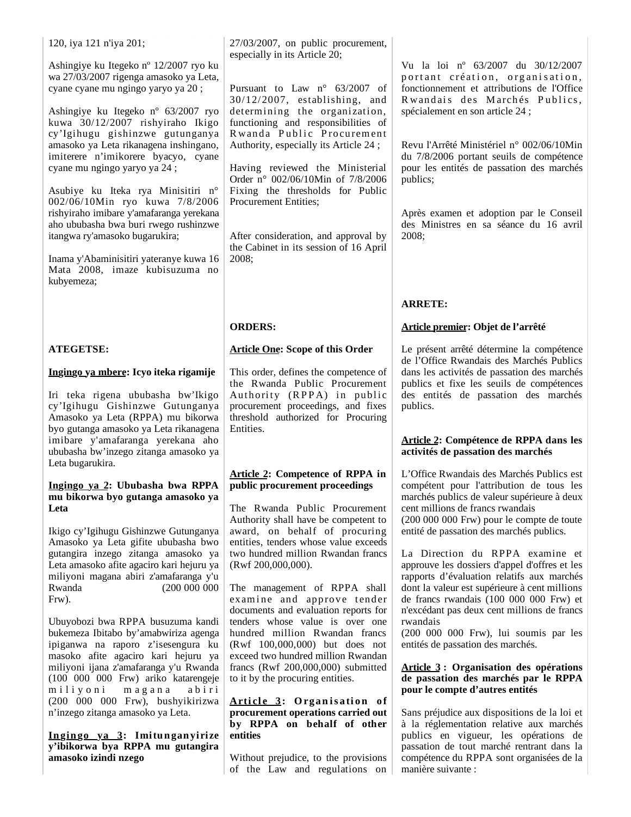120, iya 121 n'iya 201;

Ashingiye ku Itegeko nº 12/2007 ryo ku wa 27/03/2007 rigenga amasoko ya Leta, cyane cyane mu ngingo yaryo ya 20 ;

Ashingiye ku Itegeko nº 63/2007 ryo kuwa 30/12/2007 rishyiraho Ikigo cy'Igihugu gishinzwe gutunganya amasoko ya Leta rikanagena inshingano, imiterere n'imikorere byacyo, cyane cyane mu ngingo yaryo ya 24 ;

Asubiye ku Iteka rya Minisitiri n° 002/06/10Min ryo kuwa 7/8/2006 rishyiraho imibare y'amafaranga yerekana aho ububasha bwa buri rwego rushinzwe itangwa ry'amasoko bugarukira;

Inama y'Abaminisitiri yateranye kuwa 16 Mata 2008, imaze kubisuzuma no kubyemeza;

# **ATEGETSE:**

### **Ingingo ya mbere: Icyo iteka rigamije**

Iri teka rigena ububasha bw'Ikigo cy'Igihugu Gishinzwe Gutunganya Amasoko ya Leta (RPPA) mu bikorwa byo gutanga amasoko ya Leta rikanagena imibare y'amafaranga yerekana aho ububasha bw'inzego zitanga amasoko ya Leta bugarukira.

#### **Ingingo ya 2: Ububasha bwa RPPA mu bikorwa byo gutanga amasoko ya Leta**

Ikigo cy'Igihugu Gishinzwe Gutunganya Amasoko ya Leta gifite ububasha bwo gutangira inzego zitanga amasoko ya Leta amasoko afite agaciro kari hejuru ya miliyoni magana abiri z'amafaranga y'u Rwanda (200 000 000 Frw).

Ubuyobozi bwa RPPA busuzuma kandi bukemeza Ibitabo by'amabwiriza agenga ipiganwa na raporo z'isesengura ku masoko afite agaciro kari hejuru ya miliyoni ijana z'amafaranga y'u Rwanda (100 000 000 Frw) ariko katarengeje miliyoni magana abiri (200 000 000 Frw), bushyikirizwa n'inzego zitanga amasoko ya Leta.

**In gin go ya 3: Imitu n gan yirize y'ibikorwa bya RPPA mu gutangira amasoko izindi nzego**

27/03/2007, on public procurement, especially in its Article 20;

Pursuant to Law n° 63/2007 of 30/12/2007, establishing, and determining the organization, functioning and responsibilities of R wanda Public Procurement Authority, especially its Article 24 ;

Having reviewed the Ministerial Order n° 002/06/10Min of 7/8/2006 Fixing the thresholds for Public Procurement Entities;

After consideration, and approval by the Cabinet in its session of 16 April 2008;

### **ORDERS:**

#### **Article One: Scope of this Order**

This order, defines the competence of the Rwanda Public Procurement Authority (RPPA) in public procurement proceedings, and fixes threshold authorized for Procuring Entities.

## **Article 2: Competence of RPPA in public procurement proceedings**

The Rwanda Public Procurement Authority shall have be competent to award, on behalf of procuring entities, tenders whose value exceeds two hundred million Rwandan francs (Rwf 200,000,000).

The management of RPPA shall examine and approve tender documents and evaluation reports for tenders whose value is over one hundred million Rwandan francs (Rwf 100,000,000) but does not exceed two hundred million Rwandan francs (Rwf 200,000,000) submitted to it by the procuring entities.

#### **Article 3: Organisation of procurement operations carried out by RPPA on behalf of other entities**

Without prejudice, to the provisions of the Law and regulations on Vu la loi nº 63/2007 du 30/12/2007 portant création, organisation, fonctionnement et attributions de l'Office Rwandais des Marchés Publics, spécialement en son article 24 ;

Revu l'Arrêté Ministériel n° 002/06/10Min du 7/8/2006 portant seuils de compétence pour les entités de passation des marchés publics;

Après examen et adoption par le Conseil des Ministres en sa séance du 16 avril 2008;

## **ARRETE:**

### **Article premier: Objet de l'arrêté**

Le présent arrêté détermine la compétence de l'Office Rwandais des Marchés Publics dans les activités de passation des marchés publics et fixe les seuils de compétences des entités de passation des marchés publics.

#### **Article 2: Compétence de RPPA dans les activités de passation des marchés**

L'Office Rwandais des Marchés Publics est compétent pour l'attribution de tous les marchés publics de valeur supérieure à deux cent millions de francs rwandais  $(200 000 000$  Frw) pour le compte de toute entité de passation des marchés publics.

La Direction du RPPA examine et approuve les dossiers d'appel d'offres et les rapports d'évaluation relatifs aux marchés dont la valeur est supérieure à cent millions de francs rwandais (100 000 000 Frw) et n'excédant pas deux cent millions de francs rwandais

(200 000 000 Frw), lui soumis par les entités de passation des marchés.

#### **Article 3 : Organisation des opérations de passation des marchés par le RPPA pour le compte d'autres entités**

Sans préjudice aux dispositions de la loi et à la réglementation relative aux marchés publics en vigueur, les opérations de passation de tout marché rentrant dans la compétence du RPPA sont organisées de la manière suivante :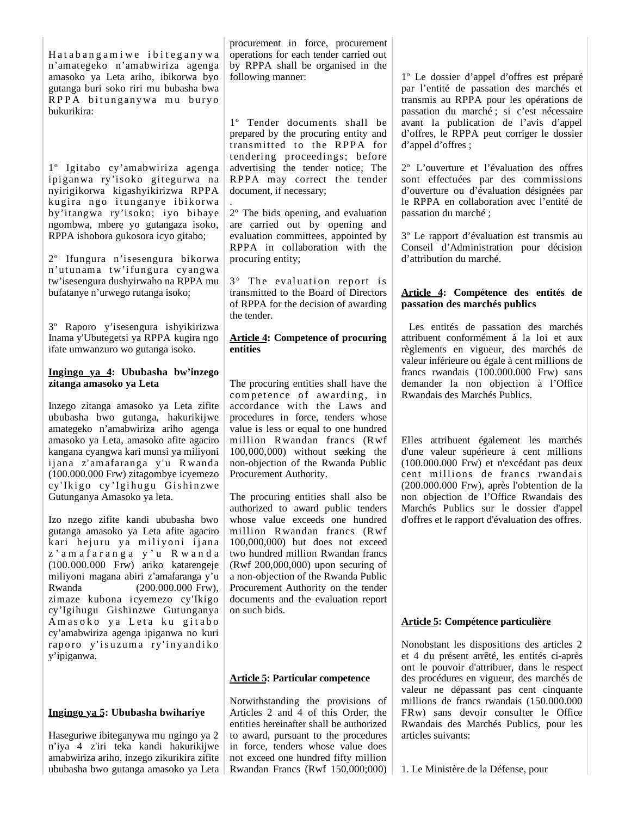Hat a b a n g a m i w e i b i t e g a n y w a n'amategeko n'amabwiriza agenga amasoko ya Leta ariho, ibikorwa byo gutanga buri soko riri mu bubasha bwa RPPA bitunganywa mu buryo bukurikira:

1º Igitabo cy'amabwiriza agenga ipiganwa ry'isoko gitegurwa na nyirigikorwa kigashyikirizwa RPPA kugira ngo itunganye ibikorwa by'itangwa ry'isoko; iyo bibaye ngombwa, mbere yo gutangaza isoko, RPPA ishobora gukosora icyo gitabo;

2º Ifungura n'isesengura bikorwa n'utunama tw'ifungura cyangwa tw'isesengura dushyirwaho na RPPA mu bufatanye n'urwego rutanga isoko;

3º Raporo y'isesengura ishyikirizwa Inama y'Ubutegetsi ya RPPA kugira ngo ifate umwanzuro wo gutanga isoko.

#### **Ingingo ya 4: Ububasha bw'inzego zitanga amasoko ya Leta**

Inzego zitanga amasoko ya Leta zifite ububasha bwo gutanga, hakurikijwe amategeko n'amabwiriza ariho agenga amasoko ya Leta, amasoko afite agaciro kangana cyangwa kari munsi ya miliyoni ijana z'amafaranga y'u Rwanda (100.000.000 Frw) zitagombye icyemezo cy' Ikigo cy' Igihugu Gishinzwe Gutunganya Amasoko ya leta.

Izo nzego zifite kandi ububasha bwo gutanga amasoko ya Leta afite agaciro kari hejuru ya miliyoni ijana z ' a m a f a r a n g a y ' u R w a n d a (100.000.000 Frw) ariko katarengeje miliyoni magana abiri z'amafaranga y'u Rwanda (200.000.000 Frw), zimaze kubona icyemezo cy'Ikigo cy'Igihugu Gishinzwe Gutunganya Amasoko ya Leta ku gitabo cy'amabwiriza agenga ipiganwa no kuri raporo y'isuzuma ry'inyandiko y'ipiganwa.

### **Ingingo ya 5: Ububasha bwihariye**

Haseguriwe ibiteganywa mu ngingo ya 2 n'iya 4 z'iri teka kandi hakurikijwe amabwiriza ariho, inzego zikurikira zifite ububasha bwo gutanga amasoko ya Leta procurement in force, procurement operations for each tender carried out by RPPA shall be organised in the following manner:

1º Tender documents shall be prepared by the procuring entity and transmitted to the RPPA for tendering proceedings; before advertising the tender notice; The RPPA may correct the tender document, if necessary;

. 2º The bids opening, and evaluation are carried out by opening and evaluation committees, appointed by RPPA in collaboration with the procuring entity;

3° The evaluation report is transmitted to the Board of Directors of RPPA for the decision of awarding the tender.

### **Article 4: Competence of procuring entities**

The procuring entities shall have the competence of awarding, in accordance with the Laws and procedures in force, tenders whose value is less or equal to one hundred million Rwandan francs (Rwf 100,000,000) without seeking the non-objection of the Rwanda Public Procurement Authority.

The procuring entities shall also be authorized to award public tenders whose value exceeds one hundred million Rwandan francs (Rwf 100,000,000) but does not exceed two hundred million Rwandan francs (Rwf 200,000,000) upon securing of a non-objection of the Rwanda Public Procurement Authority on the tender documents and the evaluation report on such bids.

# **Article 5: Particular competence**

Notwithstanding the provisions of Articles 2 and 4 of this Order, the entities hereinafter shall be authorized to award, pursuant to the procedures in force, tenders whose value does not exceed one hundred fifty million Rwandan Francs (Rwf 150,000;000)

1º Le dossier d'appel d'offres est préparé par l'entité de passation des marchés et transmis au RPPA pour les opérations de passation du marché ; si c'est nécessaire avant la publication de l'avis d'appel d'offres, le RPPA peut corriger le dossier d'appel d'offres ;

2º L'ouverture et l'évaluation des offres sont effectuées par des commissions d'ouverture ou d'évaluation désignées par le RPPA en collaboration avec l'entité de passation du marché ;

3º Le rapport d'évaluation est transmis au Conseil d'Administration pour décision d'attribution du marché.

## **Article 4: Compétence des entités de passation des marchés publics**

 Les entités de passation des marchés attribuent conformément à la loi et aux règlements en vigueur, des marchés de valeur inférieure ou égale à cent millions de francs rwandais (100.000.000 Frw) sans demander la non objection à l'Office Rwandais des Marchés Publics.

Elles attribuent également les marchés d'une valeur supérieure à cent millions (100.000.000 Frw) et n'excédant pas deux cent millions de francs rwandais (200.000.000 Frw), après l'obtention de la non objection de l'Office Rwandais des Marchés Publics sur le dossier d'appel d'offres et le rapport d'évaluation des offres.

# **Article 5: Compétence particulière**

Nonobstant les dispositions des articles 2 et 4 du présent arrêté, les entités ci-après ont le pouvoir d'attribuer, dans le respect des procédures en vigueur, des marchés de valeur ne dépassant pas cent cinquante millions de francs rwandais (150.000.000 FRw) sans devoir consulter le Office Rwandais des Marchés Publics, pour les articles suivants:

1. Le Ministère de la Défense, pour